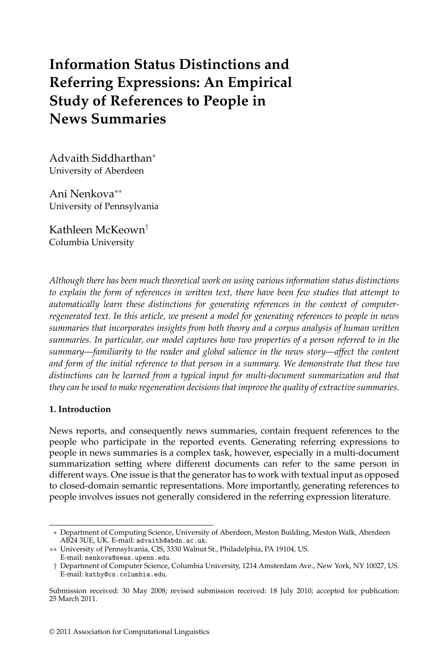# **Information Status Distinctions and Referring Expressions: An Empirical Study of References to People in News Summaries**

Advaith Siddharthan<sup>∗</sup> University of Aberdeen

Ani Nenkova∗∗ University of Pennsylvania

Kathleen McKeown† Columbia University

*Although there has been much theoretical work on using various information status distinctions to explain the form of references in written text, there have been few studies that attempt to automatically learn these distinctions for generating references in the context of computerregenerated text. In this article, we present a model for generating references to people in news summaries that incorporates insights from both theory and a corpus analysis of human written summaries. In particular, our model captures how two properties of a person referred to in the summary—familiarity to the reader and global salience in the news story—affect the content and form of the initial reference to that person in a summary. We demonstrate that these two distinctions can be learned from a typical input for multi-document summarization and that they can be used to make regeneration decisions that improve the quality of extractive summaries.*

# **1. Introduction**

News reports, and consequently news summaries, contain frequent references to the people who participate in the reported events. Generating referring expressions to people in news summaries is a complex task, however, especially in a multi-document summarization setting where different documents can refer to the same person in different ways. One issue is that the generator has to work with textual input as opposed to closed-domain semantic representations. More importantly, generating references to people involves issues not generally considered in the referring expression literature.

<sup>∗</sup> Department of Computing Science, University of Aberdeen, Meston Building, Meston Walk, Aberdeen AB24 3UE, UK. E-mail: advaith@abdn.ac.uk.

<sup>∗∗</sup> University of Pennsylvania, CIS, 3330 Walnut St., Philadelphia, PA 19104, US. E-mail: nenkova@seas.upenn.edu.

<sup>†</sup> Department of Computer Science, Columbia University, 1214 Amsterdam Ave., New York, NY 10027, US. E-mail: kathy@cs.columbia.edu.

Submission received: 30 May 2008; revised submission received: 18 July 2010; accepted for publication: 25 March 2011.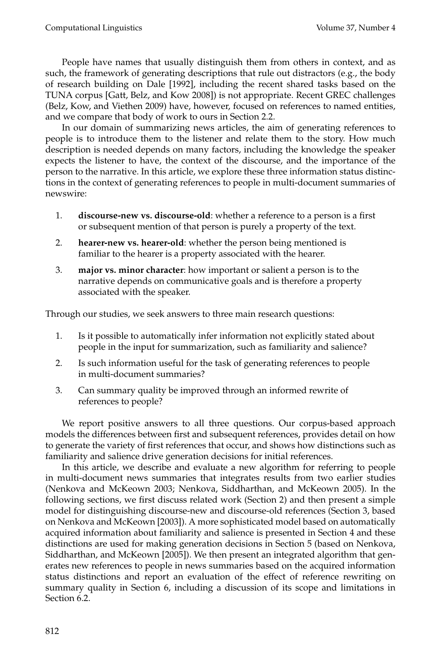People have names that usually distinguish them from others in context, and as such, the framework of generating descriptions that rule out distractors (e.g., the body of research building on Dale [1992], including the recent shared tasks based on the TUNA corpus [Gatt, Belz, and Kow 2008]) is not appropriate. Recent GREC challenges (Belz, Kow, and Viethen 2009) have, however, focused on references to named entities, and we compare that body of work to ours in Section 2.2.

In our domain of summarizing news articles, the aim of generating references to people is to introduce them to the listener and relate them to the story. How much description is needed depends on many factors, including the knowledge the speaker expects the listener to have, the context of the discourse, and the importance of the person to the narrative. In this article, we explore these three information status distinctions in the context of generating references to people in multi-document summaries of newswire:

- 1. **discourse-new vs. discourse-old**: whether a reference to a person is a first or subsequent mention of that person is purely a property of the text.
- 2. **hearer-new vs. hearer-old**: whether the person being mentioned is familiar to the hearer is a property associated with the hearer.
- 3. **major vs. minor character**: how important or salient a person is to the narrative depends on communicative goals and is therefore a property associated with the speaker.

Through our studies, we seek answers to three main research questions:

- 1. Is it possible to automatically infer information not explicitly stated about people in the input for summarization, such as familiarity and salience?
- 2. Is such information useful for the task of generating references to people in multi-document summaries?
- 3. Can summary quality be improved through an informed rewrite of references to people?

We report positive answers to all three questions. Our corpus-based approach models the differences between first and subsequent references, provides detail on how to generate the variety of first references that occur, and shows how distinctions such as familiarity and salience drive generation decisions for initial references.

In this article, we describe and evaluate a new algorithm for referring to people in multi-document news summaries that integrates results from two earlier studies (Nenkova and McKeown 2003; Nenkova, Siddharthan, and McKeown 2005). In the following sections, we first discuss related work (Section 2) and then present a simple model for distinguishing discourse-new and discourse-old references (Section 3, based on Nenkova and McKeown [2003]). A more sophisticated model based on automatically acquired information about familiarity and salience is presented in Section 4 and these distinctions are used for making generation decisions in Section 5 (based on Nenkova, Siddharthan, and McKeown [2005]). We then present an integrated algorithm that generates new references to people in news summaries based on the acquired information status distinctions and report an evaluation of the effect of reference rewriting on summary quality in Section 6, including a discussion of its scope and limitations in Section 6.2.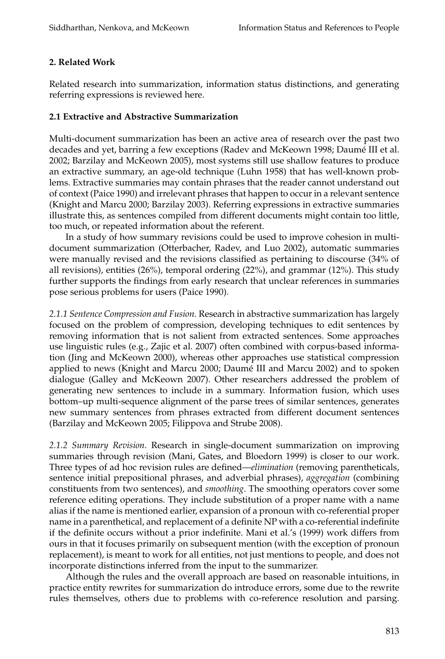# **2. Related Work**

Related research into summarization, information status distinctions, and generating referring expressions is reviewed here.

# **2.1 Extractive and Abstractive Summarization**

Multi-document summarization has been an active area of research over the past two decades and yet, barring a few exceptions (Radev and McKeown 1998; Daumé III et al. 2002; Barzilay and McKeown 2005), most systems still use shallow features to produce an extractive summary, an age-old technique (Luhn 1958) that has well-known problems. Extractive summaries may contain phrases that the reader cannot understand out of context (Paice 1990) and irrelevant phrases that happen to occur in a relevant sentence (Knight and Marcu 2000; Barzilay 2003). Referring expressions in extractive summaries illustrate this, as sentences compiled from different documents might contain too little, too much, or repeated information about the referent.

In a study of how summary revisions could be used to improve cohesion in multidocument summarization (Otterbacher, Radev, and Luo 2002), automatic summaries were manually revised and the revisions classified as pertaining to discourse (34% of all revisions), entities (26%), temporal ordering (22%), and grammar (12%). This study further supports the findings from early research that unclear references in summaries pose serious problems for users (Paice 1990).

*2.1.1 Sentence Compression and Fusion.* Research in abstractive summarization has largely focused on the problem of compression, developing techniques to edit sentences by removing information that is not salient from extracted sentences. Some approaches use linguistic rules (e.g., Zajic et al. 2007) often combined with corpus-based information (Jing and McKeown 2000), whereas other approaches use statistical compression applied to news (Knight and Marcu 2000; Daume III and Marcu 2002) and to spoken ´ dialogue (Galley and McKeown 2007). Other researchers addressed the problem of generating new sentences to include in a summary. Information fusion, which uses bottom–up multi-sequence alignment of the parse trees of similar sentences, generates new summary sentences from phrases extracted from different document sentences (Barzilay and McKeown 2005; Filippova and Strube 2008).

*2.1.2 Summary Revision.* Research in single-document summarization on improving summaries through revision (Mani, Gates, and Bloedorn 1999) is closer to our work. Three types of ad hoc revision rules are defined—*elimination* (removing parentheticals, sentence initial prepositional phrases, and adverbial phrases), *aggregation* (combining constituents from two sentences), and *smoothing*. The smoothing operators cover some reference editing operations. They include substitution of a proper name with a name alias if the name is mentioned earlier, expansion of a pronoun with co-referential proper name in a parenthetical, and replacement of a definite NP with a co-referential indefinite if the definite occurs without a prior indefinite. Mani et al.'s (1999) work differs from ours in that it focuses primarily on subsequent mention (with the exception of pronoun replacement), is meant to work for all entities, not just mentions to people, and does not incorporate distinctions inferred from the input to the summarizer.

Although the rules and the overall approach are based on reasonable intuitions, in practice entity rewrites for summarization do introduce errors, some due to the rewrite rules themselves, others due to problems with co-reference resolution and parsing.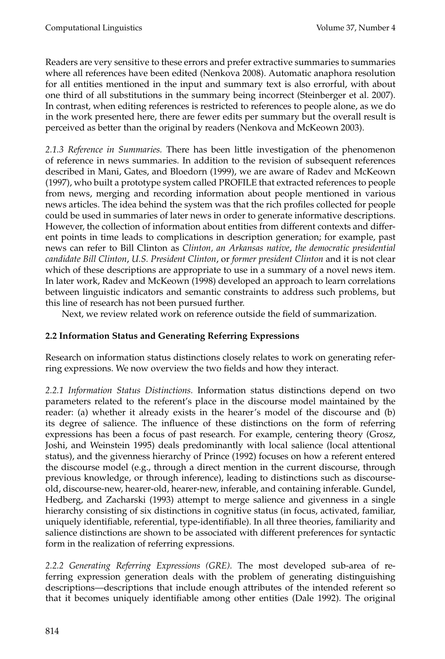Readers are very sensitive to these errors and prefer extractive summaries to summaries where all references have been edited (Nenkova 2008). Automatic anaphora resolution for all entities mentioned in the input and summary text is also errorful, with about one third of all substitutions in the summary being incorrect (Steinberger et al. 2007). In contrast, when editing references is restricted to references to people alone, as we do in the work presented here, there are fewer edits per summary but the overall result is perceived as better than the original by readers (Nenkova and McKeown 2003).

*2.1.3 Reference in Summaries.* There has been little investigation of the phenomenon of reference in news summaries. In addition to the revision of subsequent references described in Mani, Gates, and Bloedorn (1999), we are aware of Radev and McKeown (1997), who built a prototype system called PROFILE that extracted references to people from news, merging and recording information about people mentioned in various news articles. The idea behind the system was that the rich profiles collected for people could be used in summaries of later news in order to generate informative descriptions. However, the collection of information about entities from different contexts and different points in time leads to complications in description generation; for example, past news can refer to Bill Clinton as *Clinton, an Arkansas native*, *the democratic presidential candidate Bill Clinton*, *U.S. President Clinton*, or *former president Clinton* and it is not clear which of these descriptions are appropriate to use in a summary of a novel news item. In later work, Radev and McKeown (1998) developed an approach to learn correlations between linguistic indicators and semantic constraints to address such problems, but this line of research has not been pursued further.

Next, we review related work on reference outside the field of summarization.

# **2.2 Information Status and Generating Referring Expressions**

Research on information status distinctions closely relates to work on generating referring expressions. We now overview the two fields and how they interact.

*2.2.1 Information Status Distinctions.* Information status distinctions depend on two parameters related to the referent's place in the discourse model maintained by the reader: (a) whether it already exists in the hearer's model of the discourse and (b) its degree of salience. The influence of these distinctions on the form of referring expressions has been a focus of past research. For example, centering theory (Grosz, Joshi, and Weinstein 1995) deals predominantly with local salience (local attentional status), and the givenness hierarchy of Prince (1992) focuses on how a referent entered the discourse model (e.g., through a direct mention in the current discourse, through previous knowledge, or through inference), leading to distinctions such as discourseold, discourse-new, hearer-old, hearer-new, inferable, and containing inferable. Gundel, Hedberg, and Zacharski (1993) attempt to merge salience and givenness in a single hierarchy consisting of six distinctions in cognitive status (in focus, activated, familiar, uniquely identifiable, referential, type-identifiable). In all three theories, familiarity and salience distinctions are shown to be associated with different preferences for syntactic form in the realization of referring expressions.

*2.2.2 Generating Referring Expressions (GRE).* The most developed sub-area of referring expression generation deals with the problem of generating distinguishing descriptions—descriptions that include enough attributes of the intended referent so that it becomes uniquely identifiable among other entities (Dale 1992). The original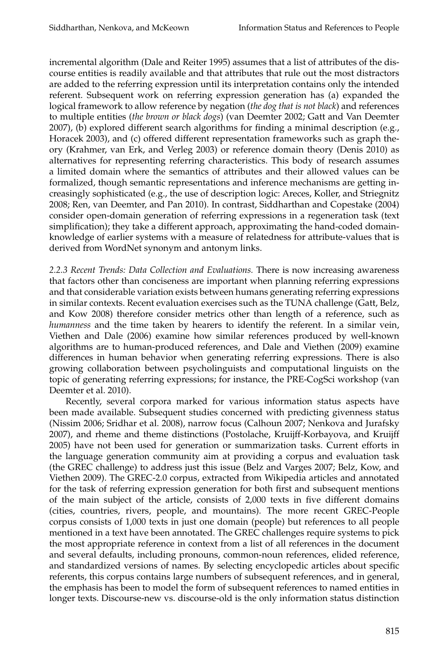incremental algorithm (Dale and Reiter 1995) assumes that a list of attributes of the discourse entities is readily available and that attributes that rule out the most distractors are added to the referring expression until its interpretation contains only the intended referent. Subsequent work on referring expression generation has (a) expanded the logical framework to allow reference by negation (*the dog that is not black*) and references to multiple entities (*the brown or black dogs*) (van Deemter 2002; Gatt and Van Deemter 2007), (b) explored different search algorithms for finding a minimal description (e.g., Horacek 2003), and (c) offered different representation frameworks such as graph theory (Krahmer, van Erk, and Verleg 2003) or reference domain theory (Denis 2010) as alternatives for representing referring characteristics. This body of research assumes a limited domain where the semantics of attributes and their allowed values can be formalized, though semantic representations and inference mechanisms are getting increasingly sophisticated (e.g., the use of description logic: Areces, Koller, and Striegnitz 2008; Ren, van Deemter, and Pan 2010). In contrast, Siddharthan and Copestake (2004) consider open-domain generation of referring expressions in a regeneration task (text simplification); they take a different approach, approximating the hand-coded domainknowledge of earlier systems with a measure of relatedness for attribute-values that is derived from WordNet synonym and antonym links.

*2.2.3 Recent Trends: Data Collection and Evaluations.* There is now increasing awareness that factors other than conciseness are important when planning referring expressions and that considerable variation exists between humans generating referring expressions in similar contexts. Recent evaluation exercises such as the TUNA challenge (Gatt, Belz, and Kow 2008) therefore consider metrics other than length of a reference, such as *humanness* and the time taken by hearers to identify the referent. In a similar vein, Viethen and Dale (2006) examine how similar references produced by well-known algorithms are to human-produced references, and Dale and Viethen (2009) examine differences in human behavior when generating referring expressions. There is also growing collaboration between psycholinguists and computational linguists on the topic of generating referring expressions; for instance, the PRE-CogSci workshop (van Deemter et al. 2010).

Recently, several corpora marked for various information status aspects have been made available. Subsequent studies concerned with predicting givenness status (Nissim 2006; Sridhar et al. 2008), narrow focus (Calhoun 2007; Nenkova and Jurafsky 2007), and rheme and theme distinctions (Postolache, Kruijff-Korbayova, and Kruijff 2005) have not been used for generation or summarization tasks. Current efforts in the language generation community aim at providing a corpus and evaluation task (the GREC challenge) to address just this issue (Belz and Varges 2007; Belz, Kow, and Viethen 2009). The GREC-2.0 corpus, extracted from Wikipedia articles and annotated for the task of referring expression generation for both first and subsequent mentions of the main subject of the article, consists of 2,000 texts in five different domains (cities, countries, rivers, people, and mountains). The more recent GREC-People corpus consists of 1,000 texts in just one domain (people) but references to all people mentioned in a text have been annotated. The GREC challenges require systems to pick the most appropriate reference in context from a list of all references in the document and several defaults, including pronouns, common-noun references, elided reference, and standardized versions of names. By selecting encyclopedic articles about specific referents, this corpus contains large numbers of subsequent references, and in general, the emphasis has been to model the form of subsequent references to named entities in longer texts. Discourse-new vs. discourse-old is the only information status distinction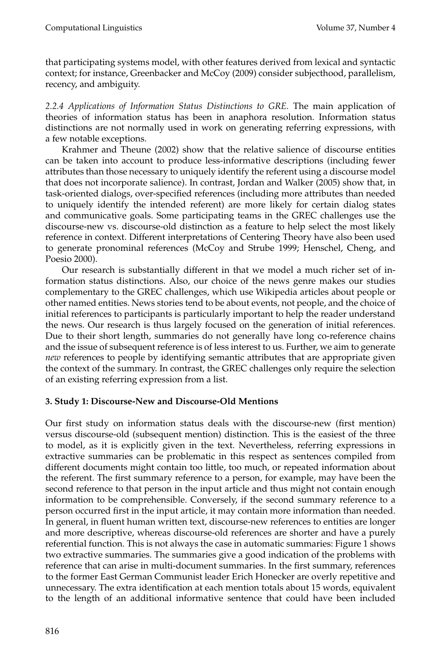that participating systems model, with other features derived from lexical and syntactic context; for instance, Greenbacker and McCoy (2009) consider subjecthood, parallelism, recency, and ambiguity.

*2.2.4 Applications of Information Status Distinctions to GRE.* The main application of theories of information status has been in anaphora resolution. Information status distinctions are not normally used in work on generating referring expressions, with a few notable exceptions.

Krahmer and Theune (2002) show that the relative salience of discourse entities can be taken into account to produce less-informative descriptions (including fewer attributes than those necessary to uniquely identify the referent using a discourse model that does not incorporate salience). In contrast, Jordan and Walker (2005) show that, in task-oriented dialogs, over-specified references (including more attributes than needed to uniquely identify the intended referent) are more likely for certain dialog states and communicative goals. Some participating teams in the GREC challenges use the discourse-new vs. discourse-old distinction as a feature to help select the most likely reference in context. Different interpretations of Centering Theory have also been used to generate pronominal references (McCoy and Strube 1999; Henschel, Cheng, and Poesio 2000).

Our research is substantially different in that we model a much richer set of information status distinctions. Also, our choice of the news genre makes our studies complementary to the GREC challenges, which use Wikipedia articles about people or other named entities. News stories tend to be about events, not people, and the choice of initial references to participants is particularly important to help the reader understand the news. Our research is thus largely focused on the generation of initial references. Due to their short length, summaries do not generally have long co-reference chains and the issue of subsequent reference is of less interest to us. Further, we aim to generate *new* references to people by identifying semantic attributes that are appropriate given the context of the summary. In contrast, the GREC challenges only require the selection of an existing referring expression from a list.

# **3. Study 1: Discourse-New and Discourse-Old Mentions**

Our first study on information status deals with the discourse-new (first mention) versus discourse-old (subsequent mention) distinction. This is the easiest of the three to model, as it is explicitly given in the text. Nevertheless, referring expressions in extractive summaries can be problematic in this respect as sentences compiled from different documents might contain too little, too much, or repeated information about the referent. The first summary reference to a person, for example, may have been the second reference to that person in the input article and thus might not contain enough information to be comprehensible. Conversely, if the second summary reference to a person occurred first in the input article, it may contain more information than needed. In general, in fluent human written text, discourse-new references to entities are longer and more descriptive, whereas discourse-old references are shorter and have a purely referential function. This is not always the case in automatic summaries: Figure 1 shows two extractive summaries. The summaries give a good indication of the problems with reference that can arise in multi-document summaries. In the first summary, references to the former East German Communist leader Erich Honecker are overly repetitive and unnecessary. The extra identification at each mention totals about 15 words, equivalent to the length of an additional informative sentence that could have been included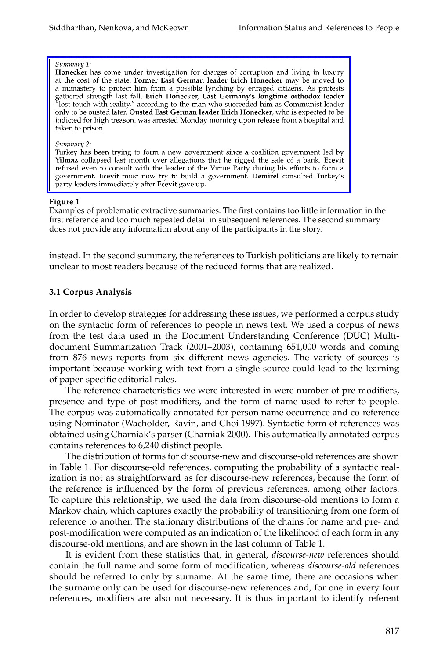#### Summary 1:

Honecker has come under investigation for charges of corruption and living in luxury at the cost of the state. Former East German leader Erich Honecker may be moved to a monastery to protect him from a possible lynching by enraged citizens. As protests gathered strength last fall, Erich Honecker, East Germany's longtime orthodox leader  $\tilde{H}$ lost touch with reality," according to the man who succeeded him as Communist leader only to be ousted later. Ousted East German leader Erich Honecker, who is expected to be indicted for high treason, was arrested Monday morning upon release from a hospital and taken to prison.

#### Summary 2:

Turkey has been trying to form a new government since a coalition government led by Yilmaz collapsed last month over allegations that he rigged the sale of a bank. Ecevit refused even to consult with the leader of the Virtue Party during his efforts to form a government. Ecevit must now try to build a government. Demirel consulted Turkey's party leaders immediately after Ecevit gave up.

#### **Figure 1**

Examples of problematic extractive summaries. The first contains too little information in the first reference and too much repeated detail in subsequent references. The second summary does not provide any information about any of the participants in the story.

instead. In the second summary, the references to Turkish politicians are likely to remain unclear to most readers because of the reduced forms that are realized.

#### **3.1 Corpus Analysis**

In order to develop strategies for addressing these issues, we performed a corpus study on the syntactic form of references to people in news text. We used a corpus of news from the test data used in the Document Understanding Conference (DUC) Multidocument Summarization Track (2001–2003), containing 651,000 words and coming from 876 news reports from six different news agencies. The variety of sources is important because working with text from a single source could lead to the learning of paper-specific editorial rules.

The reference characteristics we were interested in were number of pre-modifiers, presence and type of post-modifiers, and the form of name used to refer to people. The corpus was automatically annotated for person name occurrence and co-reference using Nominator (Wacholder, Ravin, and Choi 1997). Syntactic form of references was obtained using Charniak's parser (Charniak 2000). This automatically annotated corpus contains references to 6,240 distinct people.

The distribution of forms for discourse-new and discourse-old references are shown in Table 1. For discourse-old references, computing the probability of a syntactic realization is not as straightforward as for discourse-new references, because the form of the reference is influenced by the form of previous references, among other factors. To capture this relationship, we used the data from discourse-old mentions to form a Markov chain, which captures exactly the probability of transitioning from one form of reference to another. The stationary distributions of the chains for name and pre- and post-modification were computed as an indication of the likelihood of each form in any discourse-old mentions, and are shown in the last column of Table 1.

It is evident from these statistics that, in general, *discourse-new* references should contain the full name and some form of modification, whereas *discourse-old* references should be referred to only by surname. At the same time, there are occasions when the surname only can be used for discourse-new references and, for one in every four references, modifiers are also not necessary. It is thus important to identify referent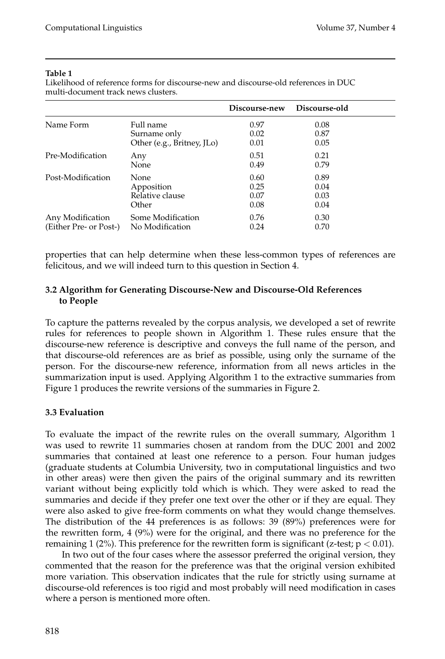Likelihood of reference forms for discourse-new and discourse-old references in DUC multi-document track news clusters.

|                        |                            | Discourse-new | Discourse-old |
|------------------------|----------------------------|---------------|---------------|
| Name Form              | Full name                  | 0.97          | 0.08          |
|                        | Surname only               | 0.02          | 0.87          |
|                        | Other (e.g., Britney, JLo) | 0.01          | 0.05          |
| Pre-Modification       | Any                        | 0.51          | 0.21          |
|                        | None                       | 0.49          | 0.79          |
| Post-Modification      | None                       | 0.60          | 0.89          |
|                        | Apposition                 | 0.25          | 0.04          |
|                        | Relative clause            | 0.07          | 0.03          |
|                        | Other                      | 0.08          | 0.04          |
| Any Modification       | Some Modification          | 0.76          | 0.30          |
| (Either Pre- or Post-) | No Modification            | 0.24          | 0.70          |

properties that can help determine when these less-common types of references are felicitous, and we will indeed turn to this question in Section 4.

# **3.2 Algorithm for Generating Discourse-New and Discourse-Old References to People**

To capture the patterns revealed by the corpus analysis, we developed a set of rewrite rules for references to people shown in Algorithm 1. These rules ensure that the discourse-new reference is descriptive and conveys the full name of the person, and that discourse-old references are as brief as possible, using only the surname of the person. For the discourse-new reference, information from all news articles in the summarization input is used. Applying Algorithm 1 to the extractive summaries from Figure 1 produces the rewrite versions of the summaries in Figure 2.

## **3.3 Evaluation**

To evaluate the impact of the rewrite rules on the overall summary, Algorithm 1 was used to rewrite 11 summaries chosen at random from the DUC 2001 and 2002 summaries that contained at least one reference to a person. Four human judges (graduate students at Columbia University, two in computational linguistics and two in other areas) were then given the pairs of the original summary and its rewritten variant without being explicitly told which is which. They were asked to read the summaries and decide if they prefer one text over the other or if they are equal. They were also asked to give free-form comments on what they would change themselves. The distribution of the 44 preferences is as follows: 39 (89%) preferences were for the rewritten form, 4 (9%) were for the original, and there was no preference for the remaining 1 (2%). This preference for the rewritten form is significant (z-test;  $p < 0.01$ ).

In two out of the four cases where the assessor preferred the original version, they commented that the reason for the preference was that the original version exhibited more variation. This observation indicates that the rule for strictly using surname at discourse-old references is too rigid and most probably will need modification in cases where a person is mentioned more often.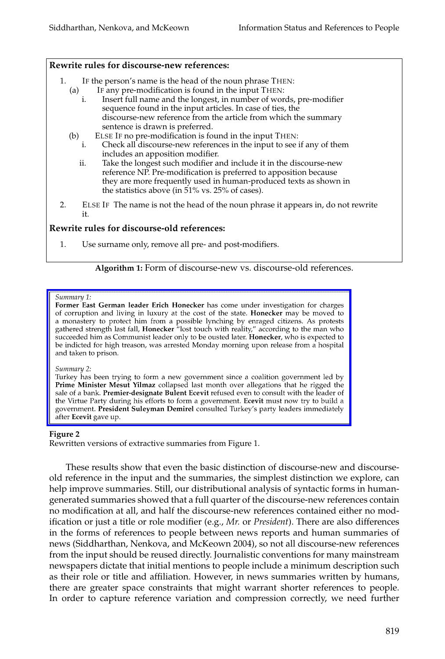#### **Rewrite rules for discourse-new references:**

- 1. IF the person's name is the head of the noun phrase THEN:
	- (a) IF any pre-modification is found in the input THEN:
		- i. Insert full name and the longest, in number of words, pre-modifier sequence found in the input articles. In case of ties, the discourse-new reference from the article from which the summary sentence is drawn is preferred.
	- (b) ELSE IF no pre-modification is found in the input THEN:<br>i. Check all discourse-new references in the input to see in
		- Check all discourse-new references in the input to see if any of them includes an apposition modifier.
		- ii. Take the longest such modifier and include it in the discourse-new reference NP. Pre-modification is preferred to apposition because they are more frequently used in human-produced texts as shown in the statistics above (in 51% vs. 25% of cases).
- 2. ELSE IF The name is not the head of the noun phrase it appears in, do not rewrite it.

#### **Rewrite rules for discourse-old references:**

1. Use surname only, remove all pre- and post-modifiers.

#### **Algorithm 1:** [Form of discourse-new vs. discourse-old references](http://www.mitpressjournals.org/action/showImage?doi=10.1162/COLI_a_00077&iName=master.img-001.png&w=327&h=144).

#### Summary 1:

Former East German leader Erich Honecker has come under investigation for charges of corruption and living in luxury at the cost of the state. Honecker may be moved to a monastery to protect him from a possible lynching by enraged citizens. As protests gathered strength last fall, **Honecker** "lost touch with reality," according to the man who succeeded him as Communist leader only to be ousted later. Honecker, who is expected to be indicted for high treason, was arrested Monday morning upon release from a hospital and taken to prison.

#### Summary 2:

Turkey has been trying to form a new government since a coalition government led by Prime Minister Mesut Yilmaz collapsed last month over allegations that he rigged the sale of a bank. Premier-designate Bulent Ecevit refused even to consult with the leader of the Virtue Party during his efforts to form a government. Ecevit must now try to build a government. President Suleyman Demirel consulted Turkey's party leaders immediately after Ecevit gave up.

#### **Figure 2**

Rewritten versions of extractive summaries from Figure 1.

These results show that even the basic distinction of discourse-new and discourseold reference in the input and the summaries, the simplest distinction we explore, can help improve summaries. Still, our distributional analysis of syntactic forms in humangenerated summaries showed that a full quarter of the discourse-new references contain no modification at all, and half the discourse-new references contained either no modification or just a title or role modifier (e.g., *Mr.* or *President*). There are also differences in the forms of references to people between news reports and human summaries of news (Siddharthan, Nenkova, and McKeown 2004), so not all discourse-new references from the input should be reused directly. Journalistic conventions for many mainstream newspapers dictate that initial mentions to people include a minimum description such as their role or title and affiliation. However, in news summaries written by humans, there are greater space constraints that might warrant shorter references to people. In order to capture reference variation and compression correctly, we need further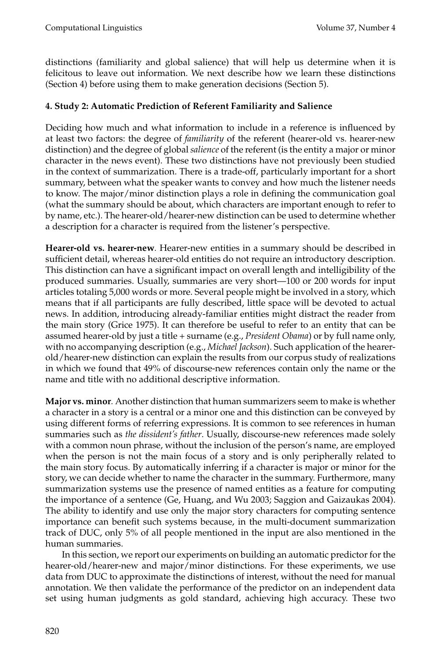distinctions (familiarity and global salience) that will help us determine when it is felicitous to leave out information. We next describe how we learn these distinctions (Section 4) before using them to make generation decisions (Section 5).

# **4. Study 2: Automatic Prediction of Referent Familiarity and Salience**

Deciding how much and what information to include in a reference is influenced by at least two factors: the degree of *familiarity* of the referent (hearer-old vs. hearer-new distinction) and the degree of global *salience* of the referent (is the entity a major or minor character in the news event). These two distinctions have not previously been studied in the context of summarization. There is a trade-off, particularly important for a short summary, between what the speaker wants to convey and how much the listener needs to know. The major/minor distinction plays a role in defining the communication goal (what the summary should be about, which characters are important enough to refer to by name, etc.). The hearer-old/hearer-new distinction can be used to determine whether a description for a character is required from the listener's perspective.

**Hearer-old vs. hearer-new***.* Hearer-new entities in a summary should be described in sufficient detail, whereas hearer-old entities do not require an introductory description. This distinction can have a significant impact on overall length and intelligibility of the produced summaries. Usually, summaries are very short—100 or 200 words for input articles totaling 5,000 words or more. Several people might be involved in a story, which means that if all participants are fully described, little space will be devoted to actual news. In addition, introducing already-familiar entities might distract the reader from the main story (Grice 1975). It can therefore be useful to refer to an entity that can be assumed hearer-old by just a title + surname (e.g., *President Obama*) or by full name only, with no accompanying description (e.g., *Michael Jackson*). Such application of the hearerold/hearer-new distinction can explain the results from our corpus study of realizations in which we found that 49% of discourse-new references contain only the name or the name and title with no additional descriptive information.

**Major vs. minor***.* Another distinction that human summarizers seem to make is whether a character in a story is a central or a minor one and this distinction can be conveyed by using different forms of referring expressions. It is common to see references in human summaries such as *the dissident's father*. Usually, discourse-new references made solely with a common noun phrase, without the inclusion of the person's name, are employed when the person is not the main focus of a story and is only peripherally related to the main story focus. By automatically inferring if a character is major or minor for the story, we can decide whether to name the character in the summary. Furthermore, many summarization systems use the presence of named entities as a feature for computing the importance of a sentence (Ge, Huang, and Wu 2003; Saggion and Gaizaukas 2004). The ability to identify and use only the major story characters for computing sentence importance can benefit such systems because, in the multi-document summarization track of DUC, only 5% of all people mentioned in the input are also mentioned in the human summaries.

In this section, we report our experiments on building an automatic predictor for the hearer-old/hearer-new and major/minor distinctions. For these experiments, we use data from DUC to approximate the distinctions of interest, without the need for manual annotation. We then validate the performance of the predictor on an independent data set using human judgments as gold standard, achieving high accuracy. These two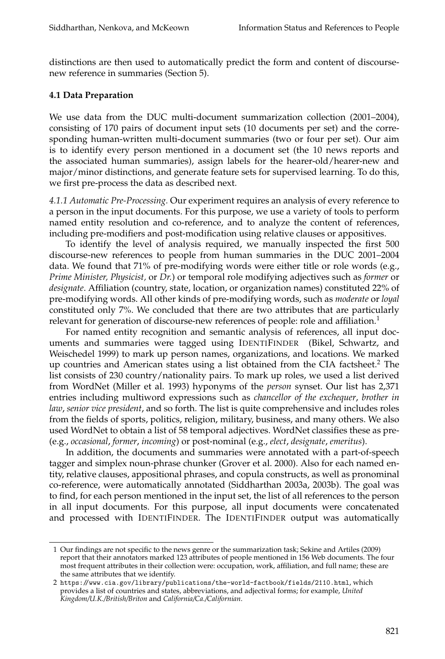distinctions are then used to automatically predict the form and content of discoursenew reference in summaries (Section 5).

#### **4.1 Data Preparation**

We use data from the DUC multi-document summarization collection (2001–2004), consisting of 170 pairs of document input sets (10 documents per set) and the corresponding human-written multi-document summaries (two or four per set). Our aim is to identify every person mentioned in a document set (the 10 news reports and the associated human summaries), assign labels for the hearer-old/hearer-new and major/minor distinctions, and generate feature sets for supervised learning. To do this, we first pre-process the data as described next.

*4.1.1 Automatic Pre-Processing.* Our experiment requires an analysis of every reference to a person in the input documents. For this purpose, we use a variety of tools to perform named entity resolution and co-reference, and to analyze the content of references, including pre-modifiers and post-modification using relative clauses or appositives.

To identify the level of analysis required, we manually inspected the first 500 discourse-new references to people from human summaries in the DUC 2001–2004 data. We found that 71% of pre-modifying words were either title or role words (e.g., *Prime Minister, Physicist,* or *Dr.*) or temporal role modifying adjectives such as *former* or *designate*. Affiliation (country, state, location, or organization names) constituted 22% of pre-modifying words. All other kinds of pre-modifying words, such as *moderate* or *loyal* constituted only 7%. We concluded that there are two attributes that are particularly relevant for generation of discourse-new references of people: role and affiliation.<sup>1</sup>

For named entity recognition and semantic analysis of references, all input documents and summaries were tagged using IDENTIFINDER (Bikel, Schwartz, and Weischedel 1999) to mark up person names, organizations, and locations. We marked up countries and American states using a list obtained from the CIA factsheet. $<sup>2</sup>$  The</sup> list consists of 230 country/nationality pairs. To mark up roles, we used a list derived from WordNet (Miller et al. 1993) hyponyms of the *person* synset. Our list has 2,371 entries including multiword expressions such as *chancellor of the exchequer*, *brother in law*, *senior vice president*, and so forth. The list is quite comprehensive and includes roles from the fields of sports, politics, religion, military, business, and many others. We also used WordNet to obtain a list of 58 temporal adjectives. WordNet classifies these as pre- (e.g., *occasional*, *former*, *incoming*) or post-nominal (e.g., *elect*, *designate*, *emeritus*).

In addition, the documents and summaries were annotated with a part-of-speech tagger and simplex noun-phrase chunker (Grover et al. 2000). Also for each named entity, relative clauses, appositional phrases, and copula constructs, as well as pronominal co-reference, were automatically annotated (Siddharthan 2003a, 2003b). The goal was to find, for each person mentioned in the input set, the list of all references to the person in all input documents. For this purpose, all input documents were concatenated and processed with IDENTIFINDER. The IDENTIFINDER output was automatically

<sup>1</sup> Our findings are not specific to the news genre or the summarization task; Sekine and Artiles (2009) report that their annotators marked 123 attributes of people mentioned in 156 Web documents. The four most frequent attributes in their collection were: occupation, work, affiliation, and full name; these are the same attributes that we identify.

<sup>2</sup> https://www.cia.gov/library/publications/the-world-factbook/fields/2110.html, which provides a list of countries and states, abbreviations, and adjectival forms; for example, *United Kingdom/U.K./British/Briton* and *California/Ca./Californian*.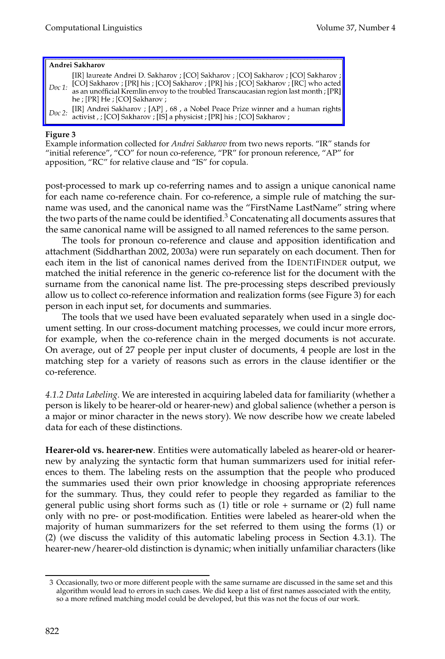[Computational Linguistics Volume](http://www.mitpressjournals.org/action/showImage?doi=10.1162/COLI_a_00077&iName=master.img-002.png&w=324&h=70) 37, Number 4

|        | Andrei Sakharov                                                                                                                                                                                                                                                  |
|--------|------------------------------------------------------------------------------------------------------------------------------------------------------------------------------------------------------------------------------------------------------------------|
|        | [IR] laureate Andrei D. Sakharov ; [CO] Sakharov ; [CO] Sakharov ; [CO] Sakharov ; [CO] Sakharov ; [CO] Sakharov ; [PR] his ; [CO] Sakharov ; [RC] who acted as an unofficial Kremlin envoy to the troubled Transcaucasian reg<br>he ; [PR] He ; [CO] Sakharov ; |
| Doc 2: | [IR] Andrei Sakharov ; [AP] , 68 , a Nobel Peace Prize winner and a human rights activist , ; [CO] Sakharov ; [IS] a physicist ; [PR] his ; [CO] Sakharov ;                                                                                                      |

#### **Figure 3**

Example information collected for *Andrei Sakharov* from two news reports. "IR" stands for "initial reference", "CO" for noun co-reference, "PR" for pronoun reference, "AP" for apposition, "RC" for relative clause and "IS" for copula.

post-processed to mark up co-referring names and to assign a unique canonical name for each name co-reference chain. For co-reference, a simple rule of matching the surname was used, and the canonical name was the "FirstName LastName" string where the two parts of the name could be identified. $3$  Concatenating all documents assures that the same canonical name will be assigned to all named references to the same person.

The tools for pronoun co-reference and clause and apposition identification and attachment (Siddharthan 2002, 2003a) were run separately on each document. Then for each item in the list of canonical names derived from the IDENTIFINDER output, we matched the initial reference in the generic co-reference list for the document with the surname from the canonical name list. The pre-processing steps described previously allow us to collect co-reference information and realization forms (see Figure 3) for each person in each input set, for documents and summaries.

The tools that we used have been evaluated separately when used in a single document setting. In our cross-document matching processes, we could incur more errors, for example, when the co-reference chain in the merged documents is not accurate. On average, out of 27 people per input cluster of documents, 4 people are lost in the matching step for a variety of reasons such as errors in the clause identifier or the co-reference.

*4.1.2 Data Labeling.* We are interested in acquiring labeled data for familiarity (whether a person is likely to be hearer-old or hearer-new) and global salience (whether a person is a major or minor character in the news story). We now describe how we create labeled data for each of these distinctions.

**Hearer-old vs. hearer-new***.* Entities were automatically labeled as hearer-old or hearernew by analyzing the syntactic form that human summarizers used for initial references to them. The labeling rests on the assumption that the people who produced the summaries used their own prior knowledge in choosing appropriate references for the summary. Thus, they could refer to people they regarded as familiar to the general public using short forms such as (1) title or role + surname or (2) full name only with no pre- or post-modification. Entities were labeled as hearer-old when the majority of human summarizers for the set referred to them using the forms (1) or (2) (we discuss the validity of this automatic labeling process in Section 4.3.1). The hearer-new/hearer-old distinction is dynamic; when initially unfamiliar characters (like

<sup>3</sup> Occasionally, two or more different people with the same surname are discussed in the same set and this algorithm would lead to errors in such cases. We did keep a list of first names associated with the entity, so a more refined matching model could be developed, but this was not the focus of our work.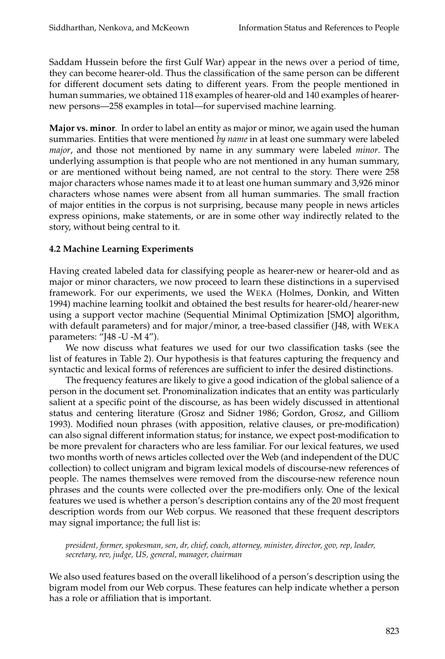Saddam Hussein before the first Gulf War) appear in the news over a period of time, they can become hearer-old. Thus the classification of the same person can be different for different document sets dating to different years. From the people mentioned in human summaries, we obtained 118 examples of hearer-old and 140 examples of hearernew persons—258 examples in total—for supervised machine learning.

**Major vs. minor***.* In order to label an entity as major or minor, we again used the human summaries. Entities that were mentioned *by name* in at least one summary were labeled *major*, and those not mentioned by name in any summary were labeled *minor*. The underlying assumption is that people who are not mentioned in any human summary, or are mentioned without being named, are not central to the story. There were 258 major characters whose names made it to at least one human summary and 3,926 minor characters whose names were absent from all human summaries. The small fraction of major entities in the corpus is not surprising, because many people in news articles express opinions, make statements, or are in some other way indirectly related to the story, without being central to it.

# **4.2 Machine Learning Experiments**

Having created labeled data for classifying people as hearer-new or hearer-old and as major or minor characters, we now proceed to learn these distinctions in a supervised framework. For our experiments, we used the WEKA (Holmes, Donkin, and Witten 1994) machine learning toolkit and obtained the best results for hearer-old/hearer-new using a support vector machine (Sequential Minimal Optimization [SMO] algorithm, with default parameters) and for major/minor, a tree-based classifier (J48, with WEKA parameters: "J48 -U -M 4").

We now discuss what features we used for our two classification tasks (see the list of features in Table 2). Our hypothesis is that features capturing the frequency and syntactic and lexical forms of references are sufficient to infer the desired distinctions.

The frequency features are likely to give a good indication of the global salience of a person in the document set. Pronominalization indicates that an entity was particularly salient at a specific point of the discourse, as has been widely discussed in attentional status and centering literature (Grosz and Sidner 1986; Gordon, Grosz, and Gilliom 1993). Modified noun phrases (with apposition, relative clauses, or pre-modification) can also signal different information status; for instance, we expect post-modification to be more prevalent for characters who are less familiar. For our lexical features, we used two months worth of news articles collected over the Web (and independent of the DUC collection) to collect unigram and bigram lexical models of discourse-new references of people. The names themselves were removed from the discourse-new reference noun phrases and the counts were collected over the pre-modifiers only. One of the lexical features we used is whether a person's description contains any of the 20 most frequent description words from our Web corpus. We reasoned that these frequent descriptors may signal importance; the full list is:

*president, former, spokesman, sen, dr, chief, coach, attorney, minister, director, gov, rep, leader, secretary, rev, judge, US, general, manager, chairman*

We also used features based on the overall likelihood of a person's description using the bigram model from our Web corpus. These features can help indicate whether a person has a role or affiliation that is important.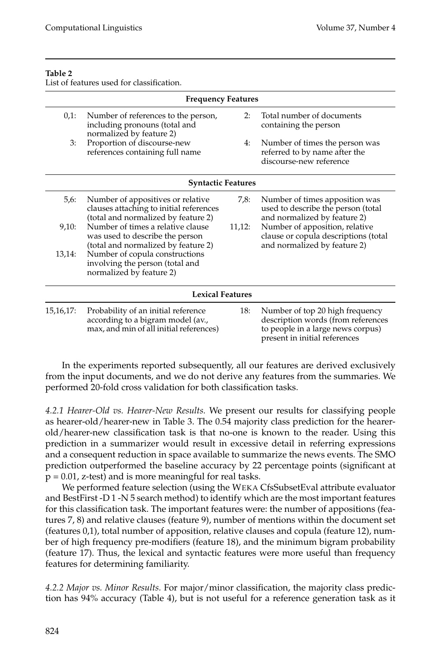List of features used for classification.

|             | <b>Frequency Features</b>                                                                                            |        |                                                                                                                                             |  |
|-------------|----------------------------------------------------------------------------------------------------------------------|--------|---------------------------------------------------------------------------------------------------------------------------------------------|--|
| 0,1:        | Number of references to the person,<br>including pronouns (total and<br>normalized by feature 2)                     | 2:     | Total number of documents<br>containing the person                                                                                          |  |
| 3:          | Proportion of discourse-new<br>references containing full name                                                       | 4:     | Number of times the person was<br>referred to by name after the<br>discourse-new reference                                                  |  |
|             | <b>Syntactic Features</b>                                                                                            |        |                                                                                                                                             |  |
| 5,6:        | Number of appositives or relative.<br>clauses attaching to initial references<br>(total and normalized by feature 2) | 7,8:   | Number of times apposition was<br>used to describe the person (total<br>and normalized by feature 2)                                        |  |
| 9,10:       | Number of times a relative clause<br>was used to describe the person<br>(total and normalized by feature 2)          | 11,12: | Number of apposition, relative<br>clause or copula descriptions (total<br>and normalized by feature 2)                                      |  |
| 13,14:      | Number of copula constructions<br>involving the person (total and<br>normalized by feature 2)                        |        |                                                                                                                                             |  |
|             | <b>Lexical Features</b>                                                                                              |        |                                                                                                                                             |  |
| 15, 16, 17: | Probability of an initial reference<br>according to a bigram model (av.,<br>max, and min of all initial references)  | 18:    | Number of top 20 high frequency<br>description words (from references<br>to people in a large news corpus)<br>present in initial references |  |

In the experiments reported subsequently, all our features are derived exclusively from the input documents, and we do not derive any features from the summaries. We performed 20-fold cross validation for both classification tasks.

*4.2.1 Hearer-Old vs. Hearer-New Results.* We present our results for classifying people as hearer-old/hearer-new in Table 3. The 0.54 majority class prediction for the hearerold/hearer-new classification task is that no-one is known to the reader. Using this prediction in a summarizer would result in excessive detail in referring expressions and a consequent reduction in space available to summarize the news events. The SMO prediction outperformed the baseline accuracy by 22 percentage points (significant at  $p = 0.01$ , z-test) and is more meaningful for real tasks.

We performed feature selection (using the WEKA CfsSubsetEval attribute evaluator and BestFirst -D 1 -N 5 search method) to identify which are the most important features for this classification task. The important features were: the number of appositions (features 7, 8) and relative clauses (feature 9), number of mentions within the document set (features 0,1), total number of apposition, relative clauses and copula (feature 12), number of high frequency pre-modifiers (feature 18), and the minimum bigram probability (feature 17). Thus, the lexical and syntactic features were more useful than frequency features for determining familiarity.

*4.2.2 Major vs. Minor Results.* For major/minor classification, the majority class prediction has 94% accuracy (Table 4), but is not useful for a reference generation task as it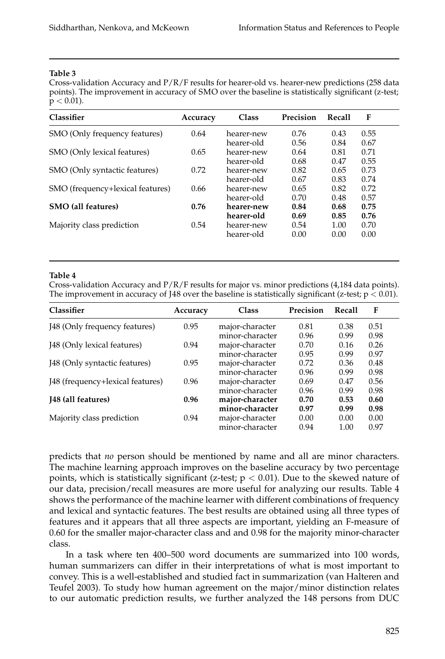Cross-validation Accuracy and  $P/R/F$  results for hearer-old vs. hearer-new predictions (258 data points). The improvement in accuracy of SMO over the baseline is statistically significant (z-test;  $p < 0.01$ ).

| <b>Classifier</b>                | Accuracy | Class      | Precision | <b>Recall</b> | F    |
|----------------------------------|----------|------------|-----------|---------------|------|
| SMO (Only frequency features)    | 0.64     | hearer-new | 0.76      | 0.43          | 0.55 |
|                                  |          | hearer-old | 0.56      | 0.84          | 0.67 |
| SMO (Only lexical features)      | 0.65     | hearer-new | 0.64      | 0.81          | 0.71 |
|                                  |          | hearer-old | 0.68      | 0.47          | 0.55 |
| SMO (Only syntactic features)    | 0.72     | hearer-new | 0.82      | 0.65          | 0.73 |
|                                  |          | hearer-old | 0.67      | 0.83          | 0.74 |
| SMO (frequency+lexical features) | 0.66     | hearer-new | 0.65      | 0.82          | 0.72 |
|                                  |          | hearer-old | 0.70      | 0.48          | 0.57 |
| <b>SMO</b> (all features)        | 0.76     | hearer-new | 0.84      | 0.68          | 0.75 |
|                                  |          | hearer-old | 0.69      | 0.85          | 0.76 |
| Majority class prediction        | 0.54     | hearer-new | 0.54      | 1.00          | 0.70 |
|                                  |          | hearer-old | 0.00      | 0.00          | 0.00 |
|                                  |          |            |           |               |      |

#### **Table 4**

Cross-validation Accuracy and  $P/R/F$  results for major vs. minor predictions (4,184 data points). The improvement in accuracy of J48 over the baseline is statistically significant (z-test;  $p < 0.01$ ).

| <b>Classifier</b>                | Accuracy | Class           | Precision | <b>Recall</b> | F    |
|----------------------------------|----------|-----------------|-----------|---------------|------|
| J48 (Only frequency features)    | 0.95     | major-character | 0.81      | 0.38          | 0.51 |
|                                  |          | minor-character | 0.96      | 0.99          | 0.98 |
| [48 (Only lexical features)      | 0.94     | major-character | 0.70      | 0.16          | 0.26 |
|                                  |          | minor-character | 0.95      | 0.99          | 0.97 |
| J48 (Only syntactic features)    | 0.95     | major-character | 0.72      | 0.36          | 0.48 |
|                                  |          | minor-character | 0.96      | 0.99          | 0.98 |
| J48 (frequency+lexical features) | 0.96     | major-character | 0.69      | 0.47          | 0.56 |
|                                  |          | minor-character | 0.96      | 0.99          | 0.98 |
| J48 (all features)               | 0.96     | major-character | 0.70      | 0.53          | 0.60 |
|                                  |          | minor-character | 0.97      | 0.99          | 0.98 |
| Majority class prediction        | 0.94     | major-character | 0.00      | 0.00          | 0.00 |
|                                  |          | minor-character | 0.94      | 1.00          | 0.97 |

predicts that *no* person should be mentioned by name and all are minor characters. The machine learning approach improves on the baseline accuracy by two percentage points, which is statistically significant (z-test;  $p < 0.01$ ). Due to the skewed nature of our data, precision/recall measures are more useful for analyzing our results. Table 4 shows the performance of the machine learner with different combinations of frequency and lexical and syntactic features. The best results are obtained using all three types of features and it appears that all three aspects are important, yielding an F-measure of 0.60 for the smaller major-character class and and 0.98 for the majority minor-character class.

In a task where ten 400–500 word documents are summarized into 100 words, human summarizers can differ in their interpretations of what is most important to convey. This is a well-established and studied fact in summarization (van Halteren and Teufel 2003). To study how human agreement on the major/minor distinction relates to our automatic prediction results, we further analyzed the 148 persons from DUC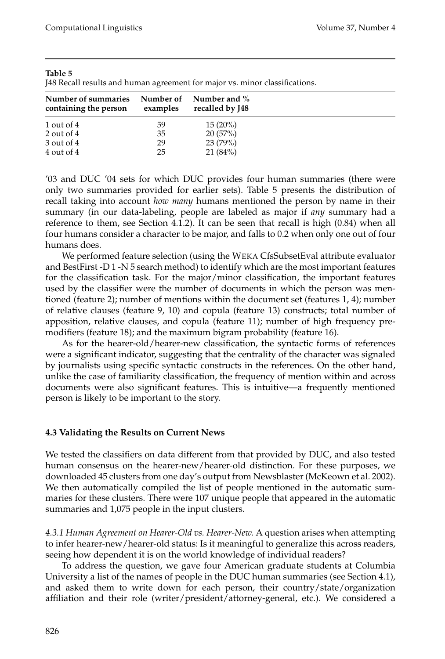J48 Recall results and human agreement for major vs. minor classifications.

'03 and DUC '04 sets for which DUC provides four human summaries (there were only two summaries provided for earlier sets). Table 5 presents the distribution of recall taking into account *how many* humans mentioned the person by name in their summary (in our data-labeling, people are labeled as major if *any* summary had a reference to them, see Section 4.1.2). It can be seen that recall is high (0.84) when all four humans consider a character to be major, and falls to 0.2 when only one out of four humans does.

We performed feature selection (using the WEKA CfsSubsetEval attribute evaluator and BestFirst -D 1 -N 5 search method) to identify which are the most important features for the classification task. For the major/minor classification, the important features used by the classifier were the number of documents in which the person was mentioned (feature 2); number of mentions within the document set (features 1, 4); number of relative clauses (feature 9, 10) and copula (feature 13) constructs; total number of apposition, relative clauses, and copula (feature 11); number of high frequency premodifiers (feature 18); and the maximum bigram probability (feature 16).

As for the hearer-old/hearer-new classification, the syntactic forms of references were a significant indicator, suggesting that the centrality of the character was signaled by journalists using specific syntactic constructs in the references. On the other hand, unlike the case of familiarity classification, the frequency of mention within and across documents were also significant features. This is intuitive—a frequently mentioned person is likely to be important to the story.

## **4.3 Validating the Results on Current News**

We tested the classifiers on data different from that provided by DUC, and also tested human consensus on the hearer-new/hearer-old distinction. For these purposes, we downloaded 45 clusters from one day's output from Newsblaster (McKeown et al. 2002). We then automatically compiled the list of people mentioned in the automatic summaries for these clusters. There were 107 unique people that appeared in the automatic summaries and 1,075 people in the input clusters.

*4.3.1 Human Agreement on Hearer-Old vs. Hearer-New.* A question arises when attempting to infer hearer-new/hearer-old status: Is it meaningful to generalize this across readers, seeing how dependent it is on the world knowledge of individual readers?

To address the question, we gave four American graduate students at Columbia University a list of the names of people in the DUC human summaries (see Section 4.1), and asked them to write down for each person, their country/state/organization affiliation and their role (writer/president/attorney-general, etc.). We considered a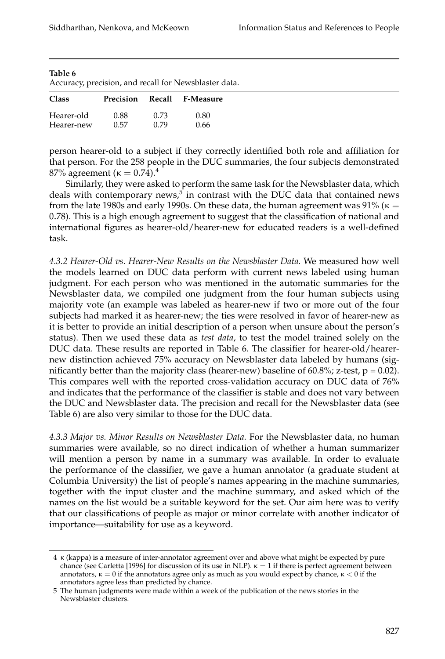| <br>Accuracy, precision, and recall for Newsblaster data. |              |              |                            |  |  |  |  |
|-----------------------------------------------------------|--------------|--------------|----------------------------|--|--|--|--|
| Class                                                     |              |              | Precision Recall F-Measure |  |  |  |  |
| Hearer-old<br>Hearer-new                                  | 0.88<br>0.57 | 0.73<br>0.79 | 0.80<br>0.66               |  |  |  |  |

person hearer-old to a subject if they correctly identified both role and affiliation for that person. For the 258 people in the DUC summaries, the four subjects demonstrated 87% agreement ( $\kappa = 0.74$ ).<sup>4</sup>

Similarly, they were asked to perform the same task for the Newsblaster data, which deals with contemporary news, $5$  in contrast with the DUC data that contained news from the late 1980s and early 1990s. On these data, the human agreement was 91% ( $\kappa$  = 0.78). This is a high enough agreement to suggest that the classification of national and international figures as hearer-old/hearer-new for educated readers is a well-defined task.

*4.3.2 Hearer-Old vs. Hearer-New Results on the Newsblaster Data.* We measured how well the models learned on DUC data perform with current news labeled using human judgment. For each person who was mentioned in the automatic summaries for the Newsblaster data, we compiled one judgment from the four human subjects using majority vote (an example was labeled as hearer-new if two or more out of the four subjects had marked it as hearer-new; the ties were resolved in favor of hearer-new as it is better to provide an initial description of a person when unsure about the person's status). Then we used these data as *test data*, to test the model trained solely on the DUC data. These results are reported in Table 6. The classifier for hearer-old/hearernew distinction achieved 75% accuracy on Newsblaster data labeled by humans (significantly better than the majority class (hearer-new) baseline of  $60.8\%$ ; z-test,  $p = 0.02$ ). This compares well with the reported cross-validation accuracy on DUC data of 76% and indicates that the performance of the classifier is stable and does not vary between the DUC and Newsblaster data. The precision and recall for the Newsblaster data (see Table 6) are also very similar to those for the DUC data.

*4.3.3 Major vs. Minor Results on Newsblaster Data.* For the Newsblaster data, no human summaries were available, so no direct indication of whether a human summarizer will mention a person by name in a summary was available. In order to evaluate the performance of the classifier, we gave a human annotator (a graduate student at Columbia University) the list of people's names appearing in the machine summaries, together with the input cluster and the machine summary, and asked which of the names on the list would be a suitable keyword for the set. Our aim here was to verify that our classifications of people as major or minor correlate with another indicator of importance—suitability for use as a keyword.

<sup>4</sup> κ (kappa) is a measure of inter-annotator agreement over and above what might be expected by pure chance (see Carletta [1996] for discussion of its use in NLP).  $κ = 1$  if there is perfect agreement between annotators,  $\kappa = 0$  if the annotators agree only as much as you would expect by chance,  $\kappa < 0$  if the annotators agree less than predicted by chance.

<sup>5</sup> The human judgments were made within a week of the publication of the news stories in the Newsblaster clusters.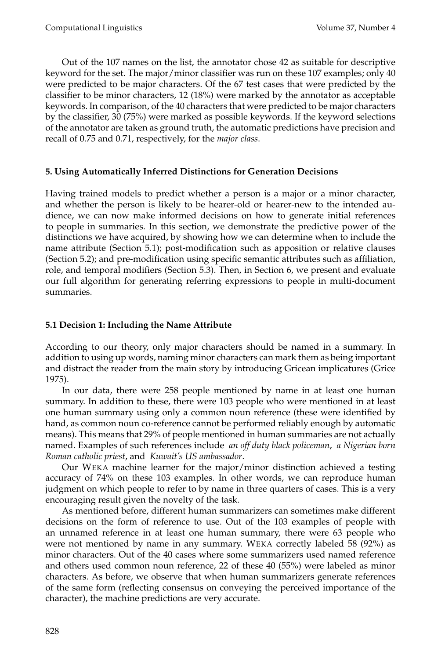Out of the 107 names on the list, the annotator chose 42 as suitable for descriptive keyword for the set. The major/minor classifier was run on these 107 examples; only 40 were predicted to be major characters. Of the 67 test cases that were predicted by the classifier to be minor characters, 12 (18%) were marked by the annotator as acceptable keywords. In comparison, of the 40 characters that were predicted to be major characters by the classifier, 30 (75%) were marked as possible keywords. If the keyword selections of the annotator are taken as ground truth, the automatic predictions have precision and recall of 0.75 and 0.71, respectively, for the *major class*.

# **5. Using Automatically Inferred Distinctions for Generation Decisions**

Having trained models to predict whether a person is a major or a minor character, and whether the person is likely to be hearer-old or hearer-new to the intended audience, we can now make informed decisions on how to generate initial references to people in summaries. In this section, we demonstrate the predictive power of the distinctions we have acquired, by showing how we can determine when to include the name attribute (Section 5.1); post-modification such as apposition or relative clauses (Section 5.2); and pre-modification using specific semantic attributes such as affiliation, role, and temporal modifiers (Section 5.3). Then, in Section 6, we present and evaluate our full algorithm for generating referring expressions to people in multi-document summaries.

# **5.1 Decision 1: Including the Name Attribute**

According to our theory, only major characters should be named in a summary. In addition to using up words, naming minor characters can mark them as being important and distract the reader from the main story by introducing Gricean implicatures (Grice 1975).

In our data, there were 258 people mentioned by name in at least one human summary. In addition to these, there were 103 people who were mentioned in at least one human summary using only a common noun reference (these were identified by hand, as common noun co-reference cannot be performed reliably enough by automatic means). This means that 29% of people mentioned in human summaries are not actually named. Examples of such references include *an off duty black policeman*, *a Nigerian born Roman catholic priest*, and *Kuwait's US ambassador*.

Our WEKA machine learner for the major/minor distinction achieved a testing accuracy of 74% on these 103 examples. In other words, we can reproduce human judgment on which people to refer to by name in three quarters of cases. This is a very encouraging result given the novelty of the task.

As mentioned before, different human summarizers can sometimes make different decisions on the form of reference to use. Out of the 103 examples of people with an unnamed reference in at least one human summary, there were 63 people who were not mentioned by name in any summary. WEKA correctly labeled 58 (92%) as minor characters. Out of the 40 cases where some summarizers used named reference and others used common noun reference, 22 of these 40 (55%) were labeled as minor characters. As before, we observe that when human summarizers generate references of the same form (reflecting consensus on conveying the perceived importance of the character), the machine predictions are very accurate.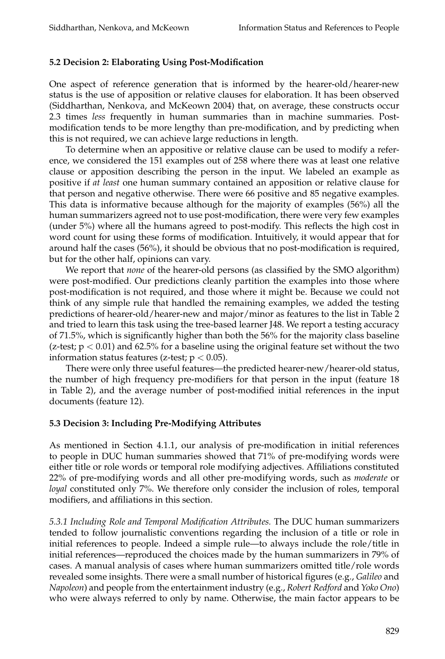#### **5.2 Decision 2: Elaborating Using Post-Modification**

One aspect of reference generation that is informed by the hearer-old/hearer-new status is the use of apposition or relative clauses for elaboration. It has been observed (Siddharthan, Nenkova, and McKeown 2004) that, on average, these constructs occur 2.3 times *less* frequently in human summaries than in machine summaries. Postmodification tends to be more lengthy than pre-modification, and by predicting when this is not required, we can achieve large reductions in length.

To determine when an appositive or relative clause can be used to modify a reference, we considered the 151 examples out of 258 where there was at least one relative clause or apposition describing the person in the input. We labeled an example as positive if *at least* one human summary contained an apposition or relative clause for that person and negative otherwise. There were 66 positive and 85 negative examples. This data is informative because although for the majority of examples (56%) all the human summarizers agreed not to use post-modification, there were very few examples (under 5%) where all the humans agreed to post-modify. This reflects the high cost in word count for using these forms of modification. Intuitively, it would appear that for around half the cases (56%), it should be obvious that no post-modification is required, but for the other half, opinions can vary.

We report that *none* of the hearer-old persons (as classified by the SMO algorithm) were post-modified. Our predictions cleanly partition the examples into those where post-modification is not required, and those where it might be. Because we could not think of any simple rule that handled the remaining examples, we added the testing predictions of hearer-old/hearer-new and major/minor as features to the list in Table 2 and tried to learn this task using the tree-based learner J48. We report a testing accuracy of 71.5%, which is significantly higher than both the 56% for the majority class baseline (z-test;  $p < 0.01$ ) and 62.5% for a baseline using the original feature set without the two information status features (z-test;  $p < 0.05$ ).

There were only three useful features—the predicted hearer-new/hearer-old status, the number of high frequency pre-modifiers for that person in the input (feature 18 in Table 2), and the average number of post-modified initial references in the input documents (feature 12).

## **5.3 Decision 3: Including Pre-Modifying Attributes**

As mentioned in Section 4.1.1, our analysis of pre-modification in initial references to people in DUC human summaries showed that 71% of pre-modifying words were either title or role words or temporal role modifying adjectives. Affiliations constituted 22% of pre-modifying words and all other pre-modifying words, such as *moderate* or *loyal* constituted only 7%. We therefore only consider the inclusion of roles, temporal modifiers, and affiliations in this section.

*5.3.1 Including Role and Temporal Modification Attributes.* The DUC human summarizers tended to follow journalistic conventions regarding the inclusion of a title or role in initial references to people. Indeed a simple rule—to always include the role/title in initial references—reproduced the choices made by the human summarizers in 79% of cases. A manual analysis of cases where human summarizers omitted title/role words revealed some insights. There were a small number of historical figures (e.g., *Galileo* and *Napoleon*) and people from the entertainment industry (e.g., *Robert Redford* and *Yoko Ono*) who were always referred to only by name. Otherwise, the main factor appears to be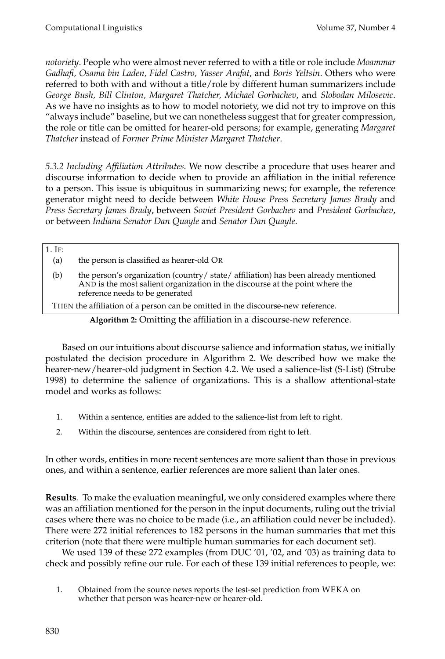*notoriety*. People who were almost never referred to with a title or role include *Moammar Gadhafi, Osama bin Laden, Fidel Castro, Yasser Arafat*, and *Boris Yeltsin*. Others who were referred to both with and without a title/role by different human summarizers include *George Bush, Bill Clinton, Margaret Thatcher, Michael Gorbachev*, and *Slobodan Milosevic*. As we have no insights as to how to model notoriety, we did not try to improve on this "always include" baseline, but we can nonetheless suggest that for greater compression, the role or title can be omitted for hearer-old persons; for example, generating *Margaret Thatcher* instead of *Former Prime Minister Margaret Thatcher*.

*5.3.2 Including Affiliation Attributes.* We now describe a procedure that uses hearer and discourse information to decide when to provide an affiliation in the initial reference to a person. This issue is ubiquitous in summarizing news; for example, the reference generator might need to decide between *White House Press Secretary James Brady* and *Press Secretary James Brady*, between *Soviet President Gorbachev* and *President Gorbachev*, or between *Indiana Senator Dan Quayle* and *Senator Dan Quayle*.

1. IF:

(a) the person is classified as hearer-old OR

(b) the person's organization (country/ state/ affiliation) has been already mentioned AND is the most salient organization in the discourse at the point where the reference needs to be generated

THEN the affiliation of a person can be omitted in the discourse-new reference.

**Algorithm 2:** Omitting the affiliation in a discourse-new reference.

Based on our intuitions about discourse salience and information status, we initially postulated the decision procedure in Algorithm 2. We described how we make the hearer-new/hearer-old judgment in Section 4.2. We used a salience-list (S-List) (Strube 1998) to determine the salience of organizations. This is a shallow attentional-state model and works as follows:

- 1. Within a sentence, entities are added to the salience-list from left to right.
- 2. Within the discourse, sentences are considered from right to left.

In other words, entities in more recent sentences are more salient than those in previous ones, and within a sentence, earlier references are more salient than later ones.

**Results***.* To make the evaluation meaningful, we only considered examples where there was an affiliation mentioned for the person in the input documents, ruling out the trivial cases where there was no choice to be made (i.e., an affiliation could never be included). There were 272 initial references to 182 persons in the human summaries that met this criterion (note that there were multiple human summaries for each document set).

We used 139 of these 272 examples (from DUC '01, '02, and '03) as training data to check and possibly refine our rule. For each of these 139 initial references to people, we:

1. Obtained from the source news reports the test-set prediction from WEKA on whether that person was hearer-new or hearer-old.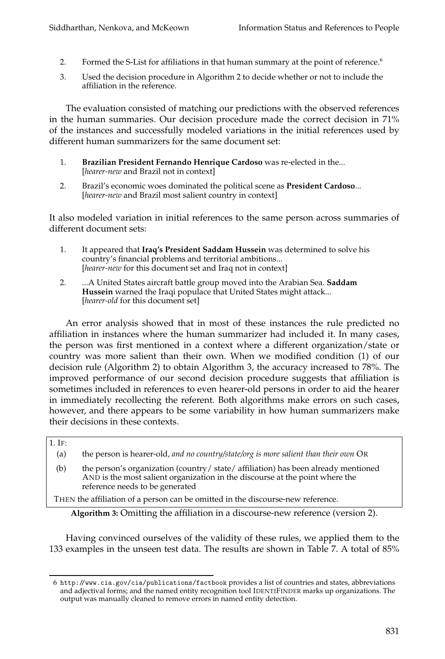- 2. Formed the S-List for affiliations in that human summary at the point of reference.<sup>6</sup>
- 3. Used the decision procedure in Algorithm 2 to decide whether or not to include the affiliation in the reference.

The evaluation consisted of matching our predictions with the observed references in the human summaries. Our decision procedure made the correct decision in 71% of the instances and successfully modeled variations in the initial references used by different human summarizers for the same document set:

- 1. **Brazilian President Fernando Henrique Cardoso** was re-elected in the... [*hearer-new* and Brazil not in context]
- 2. Brazil's economic woes dominated the political scene as **President Cardoso**... [hearer-new and Brazil most salient country in context]

It also modeled variation in initial references to the same person across summaries of different document sets:

- 1. It appeared that **Iraq's President Saddam Hussein** was determined to solve his country's financial problems and territorial ambitions... [hearer-new for this document set and Iraq not in context]
- 2. ...A United States aircraft battle group moved into the Arabian Sea. **Saddam Hussein** warned the Iraqi populace that United States might attack... [*hearer-old* for this document set]

An error analysis showed that in most of these instances the rule predicted no affiliation in instances where the human summarizer had included it. In many cases, the person was first mentioned in a context where a different organization/state or country was more salient than their own. When we modified condition (1) of our decision rule (Algorithm 2) to obtain Algorithm 3, the accuracy increased to 78%. The improved performance of our second decision procedure suggests that affiliation is sometimes included in references to even hearer-old persons in order to aid the hearer in immediately recollecting the referent. Both algorithms make errors on such cases, however, and there appears to be some variability in how human summarizers make their decisions in these contexts.

- 1. IF:
	- (a) the person is hearer-old, *and no country/state/org is more salient than their own* OR
	- (b) the person's organization (country/ state/ affiliation) has been already mentioned AND is the most salient organization in the discourse at the point where the reference needs to be generated

THEN the affiliation of a person can be omitted in the discourse-new reference.

**Algorithm 3:** Omitting the affiliation in a discourse-new reference (version 2).

Having convinced ourselves of the validity of these rules, we applied them to the 133 examples in the unseen test data. The results are shown in Table 7. A total of 85%

<sup>6</sup> http://www.cia.gov/cia/publications/factbook provides a list of countries and states, abbreviations and adjectival forms; and the named entity recognition tool IDENTIFINDER marks up organizations. The output was manually cleaned to remove errors in named entity detection.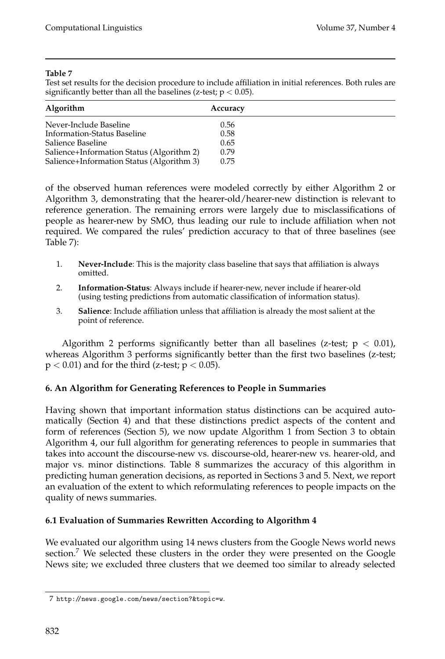Test set results for the decision procedure to include affiliation in initial references. Both rules are significantly better than all the baselines (z-test;  $p < 0.05$ ).

| <b>Algorithm</b>                          | Accuracy |
|-------------------------------------------|----------|
| Never-Include Baseline                    | 0.56     |
| Information-Status Baseline               | 0.58     |
| Salience Baseline                         | 0.65     |
| Salience+Information Status (Algorithm 2) | 0.79     |
| Salience+Information Status (Algorithm 3) | 0.75     |

of the observed human references were modeled correctly by either Algorithm 2 or Algorithm 3, demonstrating that the hearer-old/hearer-new distinction is relevant to reference generation. The remaining errors were largely due to misclassifications of people as hearer-new by SMO, thus leading our rule to include affiliation when not required. We compared the rules' prediction accuracy to that of three baselines (see Table 7):

- 1. **Never-Include**: This is the majority class baseline that says that affiliation is always omitted.
- 2. **Information-Status**: Always include if hearer-new, never include if hearer-old (using testing predictions from automatic classification of information status).
- 3. **Salience**: Include affiliation unless that affiliation is already the most salient at the point of reference.

Algorithm 2 performs significantly better than all baselines (z-test;  $p < 0.01$ ), whereas Algorithm 3 performs significantly better than the first two baselines (z-test;  $p < 0.01$ ) and for the third (z-test;  $p < 0.05$ ).

# **6. An Algorithm for Generating References to People in Summaries**

Having shown that important information status distinctions can be acquired automatically (Section 4) and that these distinctions predict aspects of the content and form of references (Section 5), we now update Algorithm 1 from Section 3 to obtain Algorithm 4, our full algorithm for generating references to people in summaries that takes into account the discourse-new vs. discourse-old, hearer-new vs. hearer-old, and major vs. minor distinctions. Table 8 summarizes the accuracy of this algorithm in predicting human generation decisions, as reported in Sections 3 and 5. Next, we report an evaluation of the extent to which reformulating references to people impacts on the quality of news summaries.

# **6.1 Evaluation of Summaries Rewritten According to Algorithm 4**

We evaluated our algorithm using 14 news clusters from the Google News world news section.<sup>7</sup> We selected these clusters in the order they were presented on the Google News site; we excluded three clusters that we deemed too similar to already selected

<sup>7</sup> http://news.google.com/news/section?&topic=w.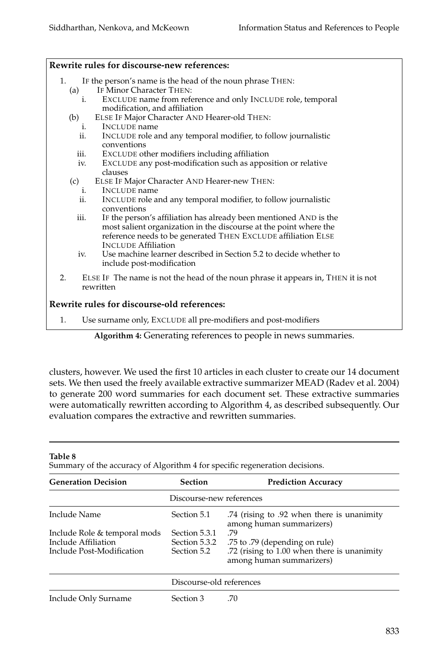|      | Rewrite rules for discourse-new references:                                                    |
|------|------------------------------------------------------------------------------------------------|
| 1.   | IF the person's name is the head of the noun phrase THEN:                                      |
| (a)  | IF Minor Character THEN:                                                                       |
| i.   | EXCLUDE name from reference and only INCLUDE role, temporal                                    |
|      | modification, and affiliation                                                                  |
| (b)  | ELSE IF Major Character AND Hearer-old THEN:                                                   |
| i.   | <b>INCLUDE</b> name                                                                            |
| ii.  | INCLUDE role and any temporal modifier, to follow journalistic                                 |
|      | conventions                                                                                    |
| iii. | EXCLUDE other modifiers including affiliation                                                  |
| iv.  | EXCLUDE any post-modification such as apposition or relative<br>clauses                        |
| (c)  | ELSE IF Major Character AND Hearer-new THEN:                                                   |
| i.   | <b>INCLUDE</b> name                                                                            |
| ii.  | INCLUDE role and any temporal modifier, to follow journalistic                                 |
| iii. | conventions<br>IF the person's affiliation has already been mentioned AND is the               |
|      | most salient organization in the discourse at the point where the                              |
|      | reference needs to be generated THEN EXCLUDE affiliation ELSE                                  |
|      | <b>INCLUDE Affiliation</b>                                                                     |
| iv.  | Use machine learner described in Section 5.2 to decide whether to                              |
|      | include post-modification                                                                      |
| 2.   |                                                                                                |
|      | ELSE IF The name is not the head of the noun phrase it appears in, THEN it is not<br>rewritten |
|      |                                                                                                |
|      | Rewrite rules for discourse-old references:                                                    |
| 1.   | Use surname only, EXCLUDE all pre-modifiers and post-modifiers                                 |
|      | Algorithm 4: Generating references to people in news summaries.                                |

clusters, however. We used the first 10 articles in each cluster to create our 14 document sets. We then used the freely available extractive summarizer MEAD (Radev et al. 2004) to generate 200 word summaries for each document set. These extractive summaries were automatically rewritten according to Algorithm 4, as described subsequently. Our evaluation compares the extractive and rewritten summaries.

## **Table 8**

Summary of the accuracy of Algorithm 4 for specific regeneration decisions.

| <b>Generation Decision</b>   | <b>Section</b>           | <b>Prediction Accuracy</b>                                              |
|------------------------------|--------------------------|-------------------------------------------------------------------------|
|                              | Discourse-new references |                                                                         |
| Include Name                 | Section 5.1              | .74 (rising to .92 when there is unanimity<br>among human summarizers)  |
| Include Role & temporal mods | Section 5.3.1            | .79                                                                     |
| Include Affiliation          | Section 5.3.2            | .75 to .79 (depending on rule)                                          |
| Include Post-Modification    | Section 5.2              | .72 (rising to 1.00 when there is unanimity<br>among human summarizers) |
|                              | Discourse-old references |                                                                         |
| Include Only Surname         | Section 3                | .70                                                                     |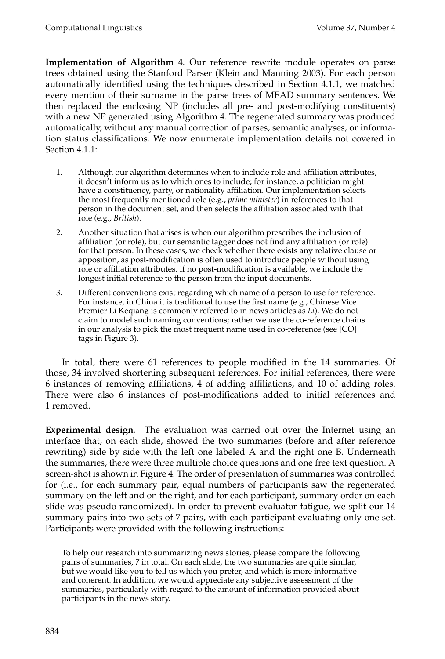**Implementation of Algorithm 4***.* Our reference rewrite module operates on parse trees obtained using the Stanford Parser (Klein and Manning 2003). For each person automatically identified using the techniques described in Section 4.1.1, we matched every mention of their surname in the parse trees of MEAD summary sentences. We then replaced the enclosing NP (includes all pre- and post-modifying constituents) with a new NP generated using Algorithm 4. The regenerated summary was produced automatically, without any manual correction of parses, semantic analyses, or information status classifications. We now enumerate implementation details not covered in Section 4.1.1:

- 1. Although our algorithm determines when to include role and affiliation attributes, it doesn't inform us as to which ones to include; for instance, a politician might have a constituency, party, or nationality affiliation. Our implementation selects the most frequently mentioned role (e.g., *prime minister*) in references to that person in the document set, and then selects the affiliation associated with that role (e.g., *British*).
- 2. Another situation that arises is when our algorithm prescribes the inclusion of affiliation (or role), but our semantic tagger does not find any affiliation (or role) for that person. In these cases, we check whether there exists any relative clause or apposition, as post-modification is often used to introduce people without using role or affiliation attributes. If no post-modification is available, we include the longest initial reference to the person from the input documents.
- 3. Different conventions exist regarding which name of a person to use for reference. For instance, in China it is traditional to use the first name (e.g., Chinese Vice Premier Li Keqiang is commonly referred to in news articles as *Li*). We do not claim to model such naming conventions; rather we use the co-reference chains in our analysis to pick the most frequent name used in co-reference (see [CO] tags in Figure 3).

In total, there were 61 references to people modified in the 14 summaries. Of those, 34 involved shortening subsequent references. For initial references, there were 6 instances of removing affiliations, 4 of adding affiliations, and 10 of adding roles. There were also 6 instances of post-modifications added to initial references and 1 removed.

**Experimental design***.* The evaluation was carried out over the Internet using an interface that, on each slide, showed the two summaries (before and after reference rewriting) side by side with the left one labeled A and the right one B. Underneath the summaries, there were three multiple choice questions and one free text question. A screen-shot is shown in Figure 4. The order of presentation of summaries was controlled for (i.e., for each summary pair, equal numbers of participants saw the regenerated summary on the left and on the right, and for each participant, summary order on each slide was pseudo-randomized). In order to prevent evaluator fatigue, we split our 14 summary pairs into two sets of 7 pairs, with each participant evaluating only one set. Participants were provided with the following instructions:

To help our research into summarizing news stories, please compare the following pairs of summaries, 7 in total. On each slide, the two summaries are quite similar, but we would like you to tell us which you prefer, and which is more informative and coherent. In addition, we would appreciate any subjective assessment of the summaries, particularly with regard to the amount of information provided about participants in the news story.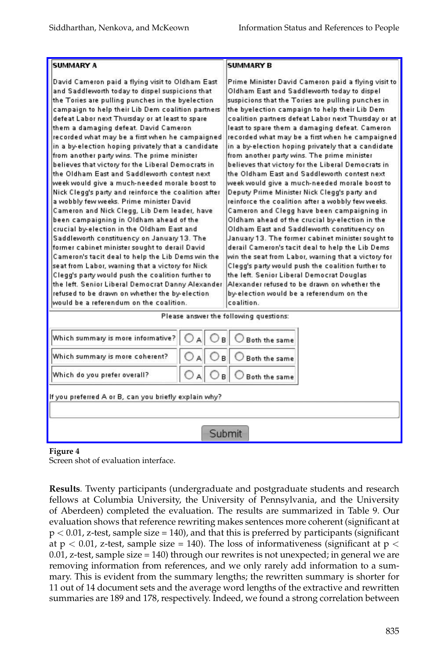[Siddharthan, Nenkova, and McKeown Information Status and References to People](http://www.mitpressjournals.org/action/showImage?doi=10.1162/COLI_a_00077&iName=master.img-003.jpg&w=383&h=416)

| SUMMARY A |  |
|-----------|--|
|           |  |

#### **SUMMARY B**

| David Cameron paid a flying visit to Oldham East<br>and Saddleworth today to dispel suspicions that<br>the Tories are pulling punches in the byelection<br>campaign to help their Lib Dem coalition partners<br>defeat Labor next Thursday or at least to spare<br>them a damaging defeat. David Cameron<br>recorded what may be a first when he campaigned<br>in a by-election hoping privately that a candidate<br>from another party wins. The prime minister<br>believes that victory for the Liberal Democrats in<br>the Oldham East and Saddleworth contest next<br>week would give a much-needed morale boost to<br>Nick Clegg's party and reinforce the coalition after<br>a wobbly few weeks. Prime minister David<br>Cameron and Nick Clegg, Lib Dem leader, have<br>been campaigning in Oldham ahead of the<br>crucial by-election in the Oldham East and<br>Saddleworth constituency on January 13. The<br>former cabinet minister sought to derail David<br>Cameron's tacit deal to help the Lib Dems win the<br>seat from Labor, warning that a victory for Nick<br>Clegg's party would push the coalition further to<br>the left. Senior Liberal Democrat Danny Alexander<br>refused to be drawn on whether the by-election<br>would be a referendum on the coalition.<br>Please answer the following questions: |  |   | Prime Minister David Cameron paid a flying visit to<br>Oldham East and Saddleworth today to dispel<br>suspicions that the Tories are pulling punches in<br>the byelection campaign to help their Lib Dem<br>coalition partners defeat Labor next Thursday or at<br>least to spare them a damaging defeat. Cameron<br>recorded what may be a first when he campaigned<br>in a by-election hoping privately that a candidate<br>from another party wins. The prime minister<br>believes that victory for the Liberal Democrats in<br>the Oldham East and Saddleworth contest next<br>week would give a much-needed morale boost to<br>Deputy Prime Minister Nick Clegg's party and<br>reinforce the coalition after a wobbly few weeks.<br>Cameron and Clegg have been campaigning in<br>Oldham ahead of the crucial by-election in the<br>Oldham East and Saddleworth constituency on<br>January 13. The former cabinet minister sought to<br>derail Cameron's tacit deal to help the Lib Dems<br>win the seat from Labor, warning that a victory for<br>Clegg's party would push the coalition further to<br>the left. Senior Liberal Democrat Douglas<br>Alexander refused to be drawn on whether the<br>by-election would be a referendum on the<br>coalition. |  |
|---------------------------------------------------------------------------------------------------------------------------------------------------------------------------------------------------------------------------------------------------------------------------------------------------------------------------------------------------------------------------------------------------------------------------------------------------------------------------------------------------------------------------------------------------------------------------------------------------------------------------------------------------------------------------------------------------------------------------------------------------------------------------------------------------------------------------------------------------------------------------------------------------------------------------------------------------------------------------------------------------------------------------------------------------------------------------------------------------------------------------------------------------------------------------------------------------------------------------------------------------------------------------------------------------------------------------------|--|---|------------------------------------------------------------------------------------------------------------------------------------------------------------------------------------------------------------------------------------------------------------------------------------------------------------------------------------------------------------------------------------------------------------------------------------------------------------------------------------------------------------------------------------------------------------------------------------------------------------------------------------------------------------------------------------------------------------------------------------------------------------------------------------------------------------------------------------------------------------------------------------------------------------------------------------------------------------------------------------------------------------------------------------------------------------------------------------------------------------------------------------------------------------------------------------------------------------------------------------------------------------------|--|
|                                                                                                                                                                                                                                                                                                                                                                                                                                                                                                                                                                                                                                                                                                                                                                                                                                                                                                                                                                                                                                                                                                                                                                                                                                                                                                                                 |  |   |                                                                                                                                                                                                                                                                                                                                                                                                                                                                                                                                                                                                                                                                                                                                                                                                                                                                                                                                                                                                                                                                                                                                                                                                                                                                  |  |
| Which summary is more informative?                                                                                                                                                                                                                                                                                                                                                                                                                                                                                                                                                                                                                                                                                                                                                                                                                                                                                                                                                                                                                                                                                                                                                                                                                                                                                              |  |   | Both the same                                                                                                                                                                                                                                                                                                                                                                                                                                                                                                                                                                                                                                                                                                                                                                                                                                                                                                                                                                                                                                                                                                                                                                                                                                                    |  |
| Which summary is more coherent?                                                                                                                                                                                                                                                                                                                                                                                                                                                                                                                                                                                                                                                                                                                                                                                                                                                                                                                                                                                                                                                                                                                                                                                                                                                                                                 |  |   | Both the same                                                                                                                                                                                                                                                                                                                                                                                                                                                                                                                                                                                                                                                                                                                                                                                                                                                                                                                                                                                                                                                                                                                                                                                                                                                    |  |
| Which do you prefer overall?                                                                                                                                                                                                                                                                                                                                                                                                                                                                                                                                                                                                                                                                                                                                                                                                                                                                                                                                                                                                                                                                                                                                                                                                                                                                                                    |  | B | Both the same                                                                                                                                                                                                                                                                                                                                                                                                                                                                                                                                                                                                                                                                                                                                                                                                                                                                                                                                                                                                                                                                                                                                                                                                                                                    |  |

If you preferred A or B, can you briefly explain why?

# **Figure 4**

Screen shot of evaluation interface.

**Results***.* Twenty participants (undergraduate and postgraduate students and research fellows at Columbia University, the University of Pennsylvania, and the University of Aberdeen) completed the evaluation. The results are summarized in Table 9. Our evaluation shows that reference rewriting makes sentences more coherent (significant at  $p < 0.01$ , z-test, sample size = 140), and that this is preferred by participants (significant at  $p < 0.01$ , z-test, sample size = 140). The loss of informativeness (significant at  $p <$  $0.01$ , z-test, sample size = 140) through our rewrites is not unexpected; in general we are removing information from references, and we only rarely add information to a summary. This is evident from the summary lengths; the rewritten summary is shorter for 11 out of 14 document sets and the average word lengths of the extractive and rewritten summaries are 189 and 178, respectively. Indeed, we found a strong correlation between

Submit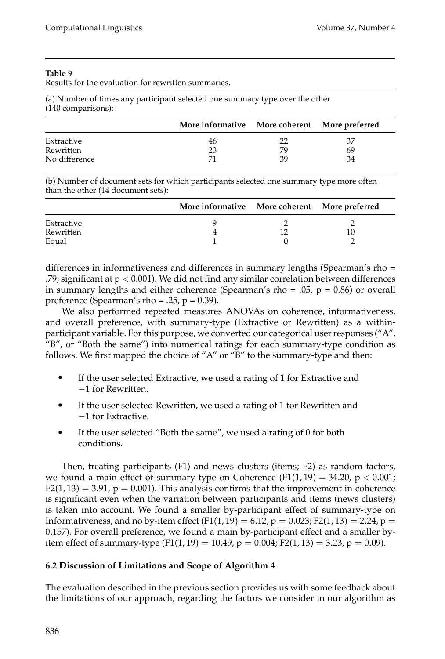Results for the evaluation for rewritten summaries.

(a) Number of times any participant selected one summary type over the other (140 comparisons):

|               | More informative More coherent More preferred |    |    |
|---------------|-----------------------------------------------|----|----|
| Extractive    | 46                                            |    | 37 |
| Rewritten     | 23                                            | 79 | 69 |
| No difference |                                               | 39 | 34 |

(b) Number of document sets for which participants selected one summary type more often than the other (14 document sets):

|            | More informative More coherent More preferred |  |
|------------|-----------------------------------------------|--|
| Extractive |                                               |  |
| Rewritten  |                                               |  |
| Equal      |                                               |  |

differences in informativeness and differences in summary lengths (Spearman's rho = .79; significant at  $p < 0.001$ ). We did not find any similar correlation between differences in summary lengths and either coherence (Spearman's rho = .05,  $p = 0.86$ ) or overall preference (Spearman's rho = .25,  $p = 0.39$ ).

We also performed repeated measures ANOVAs on coherence, informativeness, and overall preference, with summary-type (Extractive or Rewritten) as a withinparticipant variable. For this purpose, we converted our categorical user responses ("A", "B", or "Both the same") into numerical ratings for each summary-type condition as follows. We first mapped the choice of "A" or "B" to the summary-type and then:

- - If the user selected Extractive, we used a rating of 1 for Extractive and −1 for Rewritten.
- - If the user selected Rewritten, we used a rating of 1 for Rewritten and −1 for Extractive.
- - If the user selected "Both the same", we used a rating of 0 for both conditions.

Then, treating participants (F1) and news clusters (items; F2) as random factors, we found a main effect of summary-type on Coherence  $(F1(1, 19) = 34.20, p < 0.001;$  $F2(1, 13) = 3.91$ ,  $p = 0.001$ ). This analysis confirms that the improvement in coherence is significant even when the variation between participants and items (news clusters) is taken into account. We found a smaller by-participant effect of summary-type on Informativeness, and no by-item effect  $(F1(1, 19) = 6.12, p = 0.023; F2(1, 13) = 2.24, p =$ 0.157). For overall preference, we found a main by-participant effect and a smaller byitem effect of summary-type  $(F1(1, 19) = 10.49, p = 0.004; F2(1, 13) = 3.23, p = 0.09)$ .

# **6.2 Discussion of Limitations and Scope of Algorithm 4**

The evaluation described in the previous section provides us with some feedback about the limitations of our approach, regarding the factors we consider in our algorithm as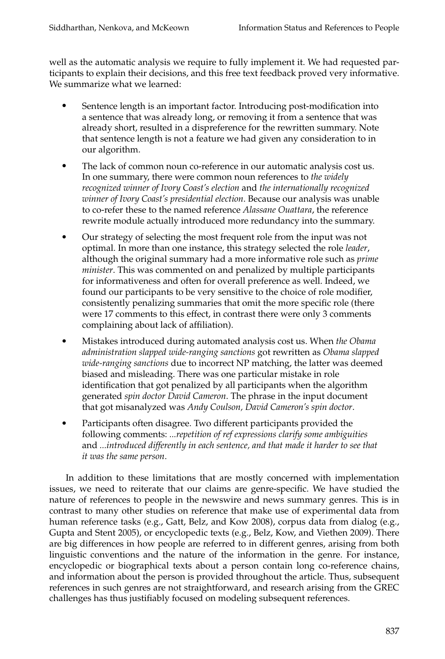well as the automatic analysis we require to fully implement it. We had requested participants to explain their decisions, and this free text feedback proved very informative. We summarize what we learned:

- - Sentence length is an important factor. Introducing post-modification into a sentence that was already long, or removing it from a sentence that was already short, resulted in a dispreference for the rewritten summary. Note that sentence length is not a feature we had given any consideration to in our algorithm.
- - The lack of common noun co-reference in our automatic analysis cost us. In one summary, there were common noun references to *the widely recognized winner of Ivory Coast's election* and *the internationally recognized winner of Ivory Coast's presidential election*. Because our analysis was unable to co-refer these to the named reference *Alassane Ouattara*, the reference rewrite module actually introduced more redundancy into the summary.
- $\bullet$  Our strategy of selecting the most frequent role from the input was not optimal. In more than one instance, this strategy selected the role *leader*, although the original summary had a more informative role such as *prime minister*. This was commented on and penalized by multiple participants for informativeness and often for overall preference as well. Indeed, we found our participants to be very sensitive to the choice of role modifier, consistently penalizing summaries that omit the more specific role (there were 17 comments to this effect, in contrast there were only 3 comments complaining about lack of affiliation).
- - Mistakes introduced during automated analysis cost us. When *the Obama administration slapped wide-ranging sanctions* got rewritten as *Obama slapped wide-ranging sanctions* due to incorrect NP matching, the latter was deemed biased and misleading. There was one particular mistake in role identification that got penalized by all participants when the algorithm generated *spin doctor David Cameron*. The phrase in the input document that got misanalyzed was *Andy Coulson, David Cameron's spin doctor*.
- - Participants often disagree. Two different participants provided the following comments: *...repetition of ref expressions clarify some ambiguities* and *...introduced differently in each sentence, and that made it harder to see that it was the same person*.

In addition to these limitations that are mostly concerned with implementation issues, we need to reiterate that our claims are genre-specific. We have studied the nature of references to people in the newswire and news summary genres. This is in contrast to many other studies on reference that make use of experimental data from human reference tasks (e.g., Gatt, Belz, and Kow 2008), corpus data from dialog (e.g., Gupta and Stent 2005), or encyclopedic texts (e.g., Belz, Kow, and Viethen 2009). There are big differences in how people are referred to in different genres, arising from both linguistic conventions and the nature of the information in the genre. For instance, encyclopedic or biographical texts about a person contain long co-reference chains, and information about the person is provided throughout the article. Thus, subsequent references in such genres are not straightforward, and research arising from the GREC challenges has thus justifiably focused on modeling subsequent references.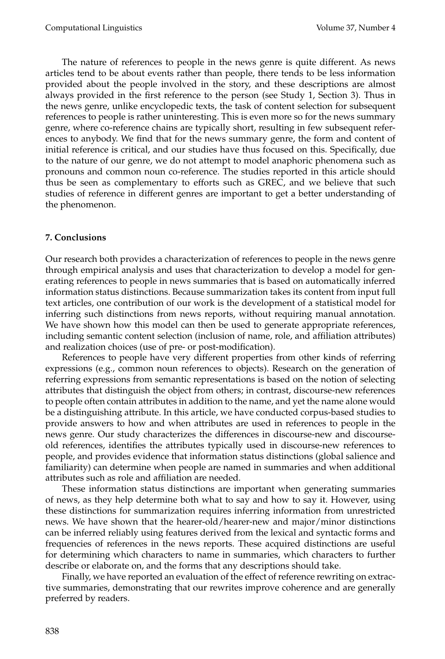The nature of references to people in the news genre is quite different. As news articles tend to be about events rather than people, there tends to be less information provided about the people involved in the story, and these descriptions are almost always provided in the first reference to the person (see Study 1, Section 3). Thus in the news genre, unlike encyclopedic texts, the task of content selection for subsequent references to people is rather uninteresting. This is even more so for the news summary genre, where co-reference chains are typically short, resulting in few subsequent references to anybody. We find that for the news summary genre, the form and content of initial reference is critical, and our studies have thus focused on this. Specifically, due to the nature of our genre, we do not attempt to model anaphoric phenomena such as pronouns and common noun co-reference. The studies reported in this article should thus be seen as complementary to efforts such as GREC, and we believe that such studies of reference in different genres are important to get a better understanding of the phenomenon.

# **7. Conclusions**

Our research both provides a characterization of references to people in the news genre through empirical analysis and uses that characterization to develop a model for generating references to people in news summaries that is based on automatically inferred information status distinctions. Because summarization takes its content from input full text articles, one contribution of our work is the development of a statistical model for inferring such distinctions from news reports, without requiring manual annotation. We have shown how this model can then be used to generate appropriate references, including semantic content selection (inclusion of name, role, and affiliation attributes) and realization choices (use of pre- or post-modification).

References to people have very different properties from other kinds of referring expressions (e.g., common noun references to objects). Research on the generation of referring expressions from semantic representations is based on the notion of selecting attributes that distinguish the object from others; in contrast, discourse-new references to people often contain attributes in addition to the name, and yet the name alone would be a distinguishing attribute. In this article, we have conducted corpus-based studies to provide answers to how and when attributes are used in references to people in the news genre. Our study characterizes the differences in discourse-new and discourseold references, identifies the attributes typically used in discourse-new references to people, and provides evidence that information status distinctions (global salience and familiarity) can determine when people are named in summaries and when additional attributes such as role and affiliation are needed.

These information status distinctions are important when generating summaries of news, as they help determine both what to say and how to say it. However, using these distinctions for summarization requires inferring information from unrestricted news. We have shown that the hearer-old/hearer-new and major/minor distinctions can be inferred reliably using features derived from the lexical and syntactic forms and frequencies of references in the news reports. These acquired distinctions are useful for determining which characters to name in summaries, which characters to further describe or elaborate on, and the forms that any descriptions should take.

Finally, we have reported an evaluation of the effect of reference rewriting on extractive summaries, demonstrating that our rewrites improve coherence and are generally preferred by readers.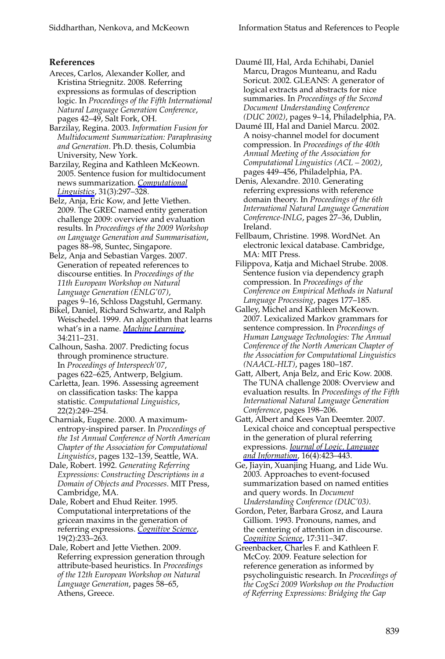#### **References**

- Areces, Carlos, Alexander Koller, and Kristina Striegnitz. 2008. Referring expressions as formulas of description logic. In *Proceedings of the Fifth International Natural Language Generation Conference*, pages 42–49, Salt Fork, OH.
- Barzilay, Regina. 2003. *Information Fusion for Multidocument Summarization: Paraphrasing and Generation*. Ph.D. thesis, Columbia University, New York.
- Barzilay, Regina and Kathleen McKeown. 2005. Sentence fusion for multidocument news summarization. *Computational Linguistics*, 31(3):297–328.
- Belz, Anja, Eric Kow, and Jette Viethen. 2009. The GREC named entity generation challenge 2009: overview and evaluation results. In *Proceedings of the 2009 Workshop on Language Generation and Summarisation*, pages 88–98, Suntec, Singapore.
- Belz, Anja and Sebastian Varges. 2007. Generation of repeated references to discourse entities. In *Proceedings of the 11th European Workshop on Natural Language Generation (ENLG'07)*,

pages 9–16, Schloss Dagstuhl, Germany.

- Bikel, Daniel, Richard Schwartz, and Ralph Weischedel. 1999. An algorithm that learns what's in a name. *Machine Learning*, 34:211–231.
- Calhoun, Sasha. 2007. Predicting focus through prominence structure. In *Proceedings of Interspeech'07*, pages 622–625, Antwerp, Belgium.
- Carletta, Jean. 1996. Assessing agreement on classification tasks: The kappa statistic. *Computational Linguistics*, 22(2):249–254.
- Charniak, Eugene. 2000. A maximumentropy-inspired parser. In *Proceedings of the 1st Annual Conference of North American Chapter of the Association for Computational Linguistics*, pages 132–139, Seattle, WA.
- Dale, Robert. 1992. *Generating Referring Expressions: Constructing Descriptions in a Domain of Objects and Processes*. MIT Press, Cambridge, MA.
- Dale, Robert and Ehud Reiter. 1995. Computational interpretations of the gricean maxims in the generation of referring expressions. *Cognitive Science*, 19(2):233–263.
- Dale, Robert and Jette Viethen. 2009. Referring expression generation through attribute-based heuristics. In *Proceedings of the 12th European Workshop on Natural Language Generation*, pages 58–65, Athens, Greece.
- Daumé III, Hal, Arda Echihabi, Daniel Marcu, Dragos Munteanu, and Radu Soricut. 2002. GLEANS: A generator of logical extracts and abstracts for nice summaries. In *Proceedings of the Second Document Understanding Conference (DUC 2002)*, pages 9–14, Philadelphia, PA.
- Daumé III, Hal and Daniel Marcu. 2002. A noisy-channel model for document compression. In *Proceedings of the 40th Annual Meeting of the Association for Computational Linguistics (ACL – 2002)*, pages 449–456, Philadelphia, PA.
- Denis, Alexandre. 2010. Generating referring expressions with reference domain theory. In *Proceedings of the 6th International Natural Language Generation Conference-INLG*, pages 27–36, Dublin, Ireland.
- Fellbaum, Christine. 1998. WordNet. An electronic lexical database. Cambridge, MA: MIT Press.
- Filippova, Katja and Michael Strube. 2008. Sentence fusion via dependency graph compression. In *Proceedings of the Conference on Empirical Methods in Natural Language Processing*, pages 177–185.
- Galley, Michel and Kathleen McKeown. 2007. Lexicalized Markov grammars for sentence compression. In *Proceedings of Human Language Technologies: The Annual Conference of the North American Chapter of the Association for Computational Linguistics (NAACL-HLT)*, pages 180–187.
- Gatt, Albert, Anja Belz, and Eric Kow. 2008. The TUNA challenge 2008: Overview and evaluation results. In *Proceedings of the Fifth International Natural Language Generation Conference*, pages 198–206.
- Gatt, Albert and Kees Van Deemter. 2007. Lexical choice and conceptual perspective in the generation of plural referring expressions. *Journal of Logic, Language and Information*, 16(4):423–443.
- Ge, Jiayin, Xuanjing Huang, and Lide Wu. 2003. Approaches to event-focused summarization based on named entities and query words. In *Document Understanding Conference (DUC'03)*.
- Gordon, Peter, Barbara Grosz, and Laura Gilliom. 1993. Pronouns, names, and the centering of attention in discourse. *Cognitive Science*, 17:311–347.
- Greenbacker, Charles F. and Kathleen F. McCoy. 2009. Feature selection for reference generation as informed by psycholinguistic research. In *Proceedings of the CogSci 2009 Workshop on the Production of Referring Expressions: Bridging the Gap*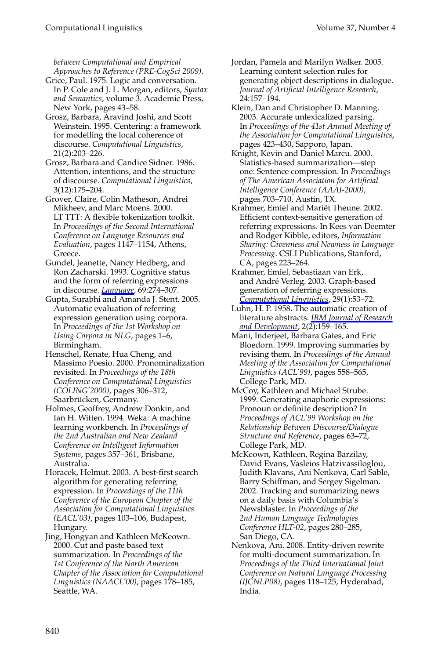#### Computational Linguistics Volume 37, Number 4

*between Computational and Empirical Approaches to Reference (PRE-CogSci 2009)*.

- Grice, Paul. 1975. Logic and conversation. In P. Cole and J. L. Morgan, editors, *Syntax and Semantics*, volume 3. Academic Press, New York, pages 43–58.
- Grosz, Barbara, Aravind Joshi, and Scott Weinstein. 1995. Centering: a framework for modelling the local coherence of discourse. *Computational Linguistics*, 21(2):203–226.
- Grosz, Barbara and Candice Sidner. 1986. Attention, intentions, and the structure of discourse. *Computational Linguistics*, 3(12):175–204.
- Grover, Claire, Colin Matheson, Andrei Mikheev, and Marc Moens. 2000. LT TTT: A flexible tokenization toolkit. In *Proceedings of the Second International Conference on Language Resources and Evaluation*, pages 1147–1154, Athens, Greece.
- Gundel, Jeanette, Nancy Hedberg, and Ron Zacharski. 1993. Cognitive status and the form of referring expressions in discourse. *Language*, 69:274–307.
- Gupta, Surabhi and Amanda J. Stent. 2005. Automatic evaluation of referring expression generation using corpora. In *Proceedings of the 1st Workshop on Using Corpora in NLG*, pages 1–6, Birmingham.
- Henschel, Renate, Hua Cheng, and Massimo Poesio. 2000. Pronominalization revisited. In *Proceedings of the 18th Conference on Computational Linguistics (COLING'2000)*, pages 306–312, Saarbrücken, Germany.
- Holmes, Geoffrey, Andrew Donkin, and Ian H. Witten. 1994. Weka: A machine learning workbench. In *Proceedings of the 2nd Australian and New Zealand Conference on Intelligent Information Systems*, pages 357–361, Brisbane, Australia.
- Horacek, Helmut. 2003. A best-first search algorithm for generating referring expression. In *Proceedings of the 11th Conference of the European Chapter of the Association for Computational Linguistics (EACL'03)*, pages 103–106, Budapest, Hungary.
- Jing, Hongyan and Kathleen McKeown. 2000. Cut and paste based text summarization. In *Proceedings of the 1st Conference of the North American Chapter of the Association for Computational Linguistics (NAACL'00)*, pages 178–185, Seattle, WA.
- Jordan, Pamela and Marilyn Walker. 2005. Learning content selection rules for generating object descriptions in dialogue. *Journal of Artificial Intelligence Research*, 24:157–194.
- Klein, Dan and Christopher D. Manning. 2003. Accurate unlexicalized parsing. In *Proceedings of the 41st Annual Meeting of the Association for Computational Linguistics*, pages 423–430, Sapporo, Japan.
- Knight, Kevin and Daniel Marcu. 2000. Statistics-based summarization—step one: Sentence compression. In *Proceedings of The American Association for Artificial Intelligence Conference (AAAI-2000)*, pages 703–710, Austin, TX.
- Krahmer, Emiel and Mariët Theune. 2002. Efficient context-sensitive generation of referring expressions. In Kees van Deemter and Rodger Kibble, editors, *Information Sharing: Givenness and Newness in Language Processing*. CSLI Publications, Stanford, CA, pages 223–264.
- Krahmer, Emiel, Sebastiaan van Erk, and André Verleg. 2003. Graph-based generation of referring expressions. *Computational Linguistics*, 29(1):53–72.
- Luhn, H. P. 1958. The automatic creation of literature abstracts. *IBM Journal of Research and Development*, 2(2):159–165.
- Mani, Inderjeet, Barbara Gates, and Eric Bloedorn. 1999. Improving summaries by revising them. In *Proceedings of the Annual Meeting of the Association for Computational Linguistics (ACL'99)*, pages 558–565, College Park, MD.
- McCoy, Kathleen and Michael Strube. 1999. Generating anaphoric expressions: Pronoun or definite description? In *Proceedings of ACL'99 Workshop on the Relationship Between Discourse/Dialogue Structure and Reference*, pages 63–72, College Park, MD.
- McKeown, Kathleen, Regina Barzilay, David Evans, Vasleios Hatzivassiloglou, Judith Klavans, Ani Nenkova, Carl Sable, Barry Schiffman, and Sergey Sigelman. 2002. Tracking and summarizing news on a daily basis with Columbia's Newsblaster. In *Proceedings of the 2nd Human Language Technologies Conference HLT-02*, pages 280–285, San Diego, CA.
- Nenkova, Ani. 2008. Entity-driven rewrite for multi-document summarization. In *Proceedings of the Third International Joint Conference on Natural Language Processing (IJCNLP08)*, pages 118–125, Hyderabad, India.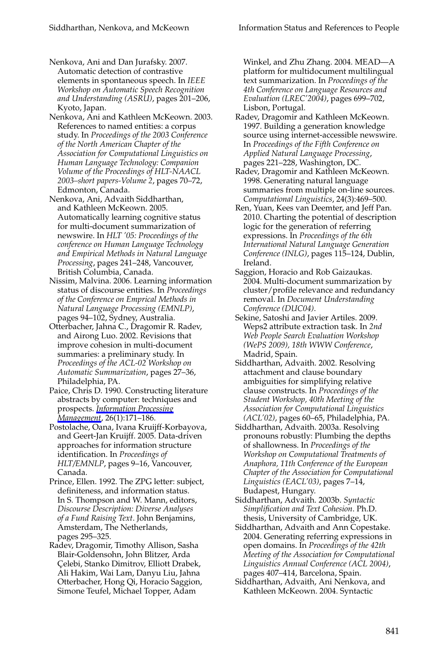- Nenkova, Ani and Dan Jurafsky. 2007. Automatic detection of contrastive elements in spontaneous speech. In *IEEE Workshop on Automatic Speech Recognition and Understanding (ASRU)*, pages 201–206, Kyoto, Japan.
- Nenkova, Ani and Kathleen McKeown. 2003. References to named entities: a corpus study. In *Proceedings of the 2003 Conference of the North American Chapter of the Association for Computational Linguistics on Human Language Technology: Companion Volume of the Proceedings of HLT-NAACL 2003–short papers-Volume 2*, pages 70–72, Edmonton, Canada.
- Nenkova, Ani, Advaith Siddharthan, and Kathleen McKeown. 2005. Automatically learning cognitive status for multi-document summarization of newswire. In *HLT '05: Proceedings of the conference on Human Language Technology and Empirical Methods in Natural Language Processing*, pages 241–248, Vancouver, British Columbia, Canada.
- Nissim, Malvina. 2006. Learning information status of discourse entities. In *Proceedings of the Conference on Emprical Methods in Natural Language Processing (EMNLP)*, pages 94–102, Sydney, Australia.
- Otterbacher, Jahna C., Dragomir R. Radev, and Airong Luo. 2002. Revisions that improve cohesion in multi-document summaries: a preliminary study. In *Proceedings of the ACL-02 Workshop on Automatic Summarization*, pages 27–36, Philadelphia, PA.
- Paice, Chris D. 1990. Constructing literature abstracts by computer: techniques and prospects. *Information Processing Management*, 26(1):171–186.
- Postolache, Oana, Ivana Kruijff-Korbayova, and Geert-Jan Kruijff. 2005. Data-driven approaches for information structure identification. In *Proceedings of HLT/EMNLP*, pages 9–16, Vancouver, Canada.
- Prince, Ellen. 1992. The ZPG letter: subject, definiteness, and information status. In S. Thompson and W. Mann, editors, *Discourse Description: Diverse Analyses of a Fund Raising Text*. John Benjamins, Amsterdam, The Netherlands, pages 295–325.
- Radev, Dragomir, Timothy Allison, Sasha Blair-Goldensohn, John Blitzer, Arda Çelebi, Stanko Dimitrov, Elliott Drabek, Ali Hakim, Wai Lam, Danyu Liu, Jahna Otterbacher, Hong Qi, Horacio Saggion, Simone Teufel, Michael Topper, Adam

Winkel, and Zhu Zhang. 2004. MEAD—A platform for multidocument multilingual text summarization. In *Proceedings of the 4th Conference on Language Resources and Evaluation (LREC'2004)*, pages 699–702, Lisbon, Portugal.

- Radev, Dragomir and Kathleen McKeown. 1997. Building a generation knowledge source using internet-accessible newswire. In *Proceedings of the Fifth Conference on Applied Natural Language Processing*, pages 221–228, Washington, DC.
- Radev, Dragomir and Kathleen McKeown. 1998. Generating natural language summaries from multiple on-line sources. *Computational Linguistics*, 24(3):469–500.
- Ren, Yuan, Kees van Deemter, and Jeff Pan. 2010. Charting the potential of description logic for the generation of referring expressions. In *Proceedings of the 6th International Natural Language Generation Conference (INLG)*, pages 115–124, Dublin, Ireland.
- Saggion, Horacio and Rob Gaizaukas. 2004. Multi-document summarization by cluster/profile relevance and redundancy removal. In *Document Understanding Conference (DUC04)*.
- Sekine, Satoshi and Javier Artiles. 2009. Weps2 attribute extraction task. In *2nd Web People Search Evaluation Workshop (WePS 2009), 18th WWW Conference*, Madrid, Spain.
- Siddharthan, Advaith. 2002. Resolving attachment and clause boundary ambiguities for simplifying relative clause constructs. In *Proceedings of the Student Workshop, 40th Meeting of the Association for Computational Linguistics (ACL'02)*, pages 60–65, Philadelphia, PA.
- Siddharthan, Advaith. 2003a. Resolving pronouns robustly: Plumbing the depths of shallowness. In *Proceedings of the Workshop on Computational Treatments of Anaphora, 11th Conference of the European Chapter of the Association for Computational Linguistics (EACL'03)*, pages 7–14, Budapest, Hungary.
- Siddharthan, Advaith. 2003b. *Syntactic Simplification and Text Cohesion*. Ph.D. thesis, University of Cambridge, UK.
- Siddharthan, Advaith and Ann Copestake. 2004. Generating referring expressions in open domains. In *Proceedings of the 42th Meeting of the Association for Computational Linguistics Annual Conference (ACL 2004)*, pages 407–414, Barcelona, Spain.
- Siddharthan, Advaith, Ani Nenkova, and Kathleen McKeown. 2004. Syntactic